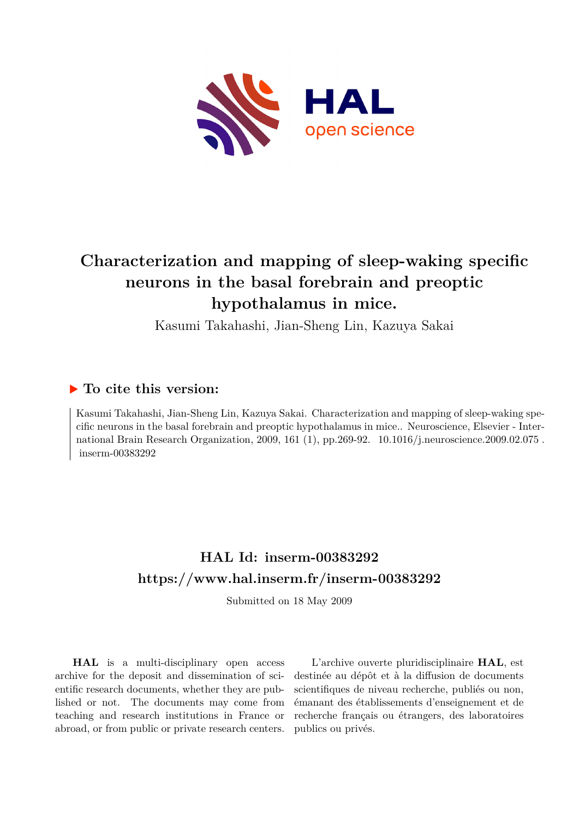

# **Characterization and mapping of sleep-waking specific neurons in the basal forebrain and preoptic hypothalamus in mice.**

Kasumi Takahashi, Jian-Sheng Lin, Kazuya Sakai

# **To cite this version:**

Kasumi Takahashi, Jian-Sheng Lin, Kazuya Sakai. Characterization and mapping of sleep-waking specific neurons in the basal forebrain and preoptic hypothalamus in mice.. Neuroscience, Elsevier - International Brain Research Organization, 2009, 161 (1), pp.269-92.  $10.1016/j.$ neuroscience.2009.02.075.  $inserm-00383292$ 

# **HAL Id: inserm-00383292 <https://www.hal.inserm.fr/inserm-00383292>**

Submitted on 18 May 2009

**HAL** is a multi-disciplinary open access archive for the deposit and dissemination of scientific research documents, whether they are published or not. The documents may come from teaching and research institutions in France or abroad, or from public or private research centers.

L'archive ouverte pluridisciplinaire **HAL**, est destinée au dépôt et à la diffusion de documents scientifiques de niveau recherche, publiés ou non, émanant des établissements d'enseignement et de recherche français ou étrangers, des laboratoires publics ou privés.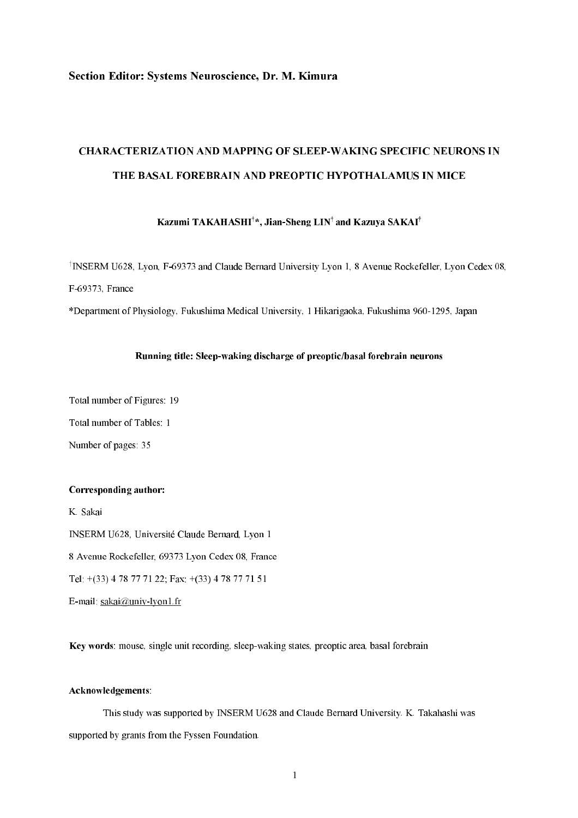# Section Editor: Systems Neuroscience, Dr. M. Kimura

# CHARACTERIZATION AND MAPPING OF SLEEP-WAKING SPECIFIC NEURONS IN THE BASAL FOREBRAIN AND PREOPTIC HYPOTHALAMUS IN MICE

Kazumi TAKAHASHI $^{\dagger}$ \*, Jian-Sheng LIN $^{\dagger}$ and Kazuya SAKAI $^{\dagger}$ 

<sup>†</sup>INSERM U628, Lyon, F-69373 and Claude Bernard University Lyon 1, 8 Avenue Rockefeller, Lyon Cedex 08, F69373, France

\*Department of Physiology, Fukushima Medical University, 1 Hikarigaoka, Fukushima 9601295, Japan

#### Running title: Sleep-waking discharge of preoptic/basal forebrain neurons

Total number of Figures: 19

Total number of Tables: 1

Number of pages: 35

#### Corresponding author:

K. Sakai INSERM U628, Université Claude Bernard, Lyon 1 8 Avenue Rockefeller, 69373 Lyon Cedex 08, France Tel: +(33) 4 78 77 71 22; Fax: +(33) 4 78 77 71 51

E-mail: sakai@univ-lyon1.fr

Key words: mouse, single unit recording, sleep-waking states, preoptic area, basal forebrain

# Acknowledgements:

This study was supported by INSERM U628 and Claude Bernard University. K. Takahashi was supported by grants from the Fyssen Foundation.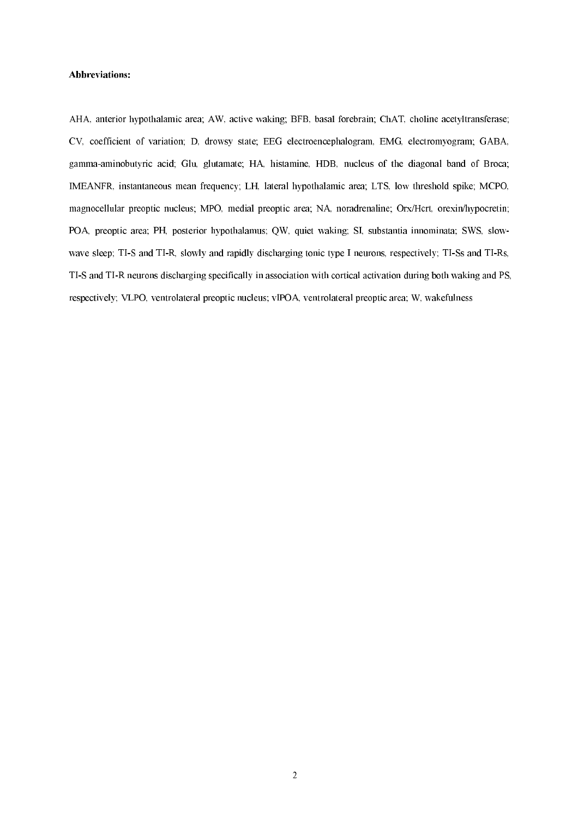#### Abbreviations:

AHA, anterior hypothalamic area; AW, active waking; BFB, basal forebrain; ChAT, choline acetyltransferase; CV, coefficient of variation; D, drowsy state; EEG electroencephalogram, EMG, electromyogram; GABA, gamma-aminobutyric acid; Glu, glutamate; HA, histamine, HDB, nucleus of the diagonal band of Broca; IMEANFR, instantaneous mean frequency; LH, lateral hypothalamic area; LTS, low threshold spike; MCPO, magnocellular preoptic nucleus; MPO, medial preoptic area; NA, noradrenaline; Orx/Hcrt, orexin/hypocretin; POA, preoptic area; PH, posterior hypothalamus; QW, quiet waking; SI, substantia innominata; SWS, slow wave sleep; TI-S and TI-R, slowly and rapidly discharging tonic type I neurons, respectively; TI-Ss and TI-Rs, TIS and TIR neurons discharging specifically in association with cortical activation during both waking and PS, respectively; VLPO, ventrolateral preoptic nucleus; vlPOA, ventrolateral preoptic area; W, wakefulness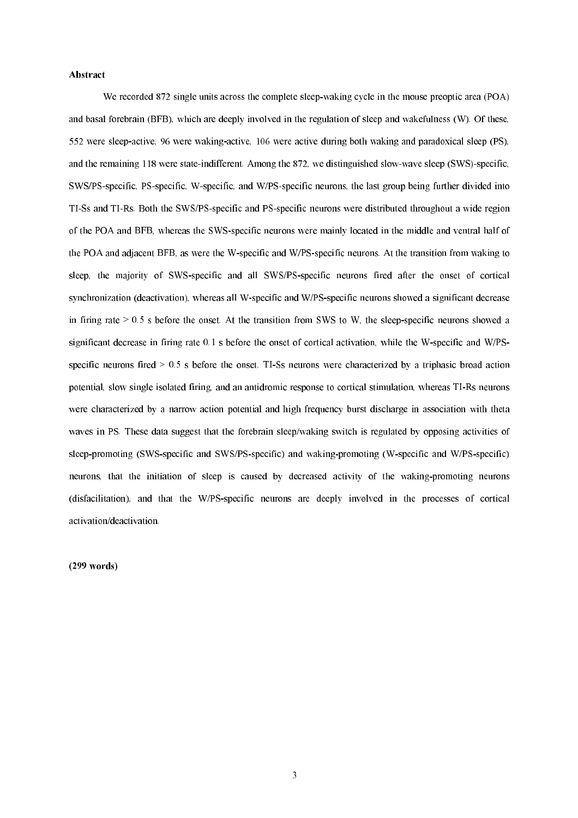#### Abstract

We recorded 872 single units across the complete sleep-waking cycle in the mouse preoptic area (POA) and basal forebrain (BFB), which are deeply involved in the regulation of sleep and wakefulness (W). Of these, 552 were sleep-active, 96 were waking-active, 106 were active during both waking and paradoxical sleep (PS), and the remaining 118 were state-indifferent. Among the 872, we distinguished slow-wave sleep (SWS)-specific, SWS/PS-specific, PS-specific, W-specific, and W/PS-specific neurons, the last group being further divided into TI-Ss and TI-Rs. Both the SWS/PS-specific and PS-specific neurons were distributed throughout a wide region of the POA and BFB, whereas the SWSspecific neurons were mainly located in the middle and ventral half of the POA and adjacent BFB, as were the W-specific and W/PS-specific neurons. At the transition from waking to sleep, the majority of SWS-specific and all SWS/PS-specific neurons fired after the onset of cortical synchronization (deactivation), whereas all W-specific and W/PS-specific neurons showed a significant decrease in firing rate  $> 0.5$  s before the onset. At the transition from SWS to W, the sleep-specific neurons showed a significant decrease in firing rate 0.1 s before the onset of cortical activation, while the W-specific and W/PSspecific neurons fired  $> 0.5$  s before the onset. TI-Ss neurons were characterized by a triphasic broad action potential, slow single isolated firing, and an antidromic response to cortical stimulation, whereas TIRs neurons were characterized by a narrow action potential and high frequency burst discharge in association with theta waves in PS. These data suggest that the forebrain sleep/waking switch is regulated by opposing activities of sleep-promoting (SWS-specific and SWS/PS-specific) and waking-promoting (W-specific and W/PS-specific) neurons, that the initiation of sleep is caused by decreased activity of the waking-promoting neurons (disfacilitation), and that the W/PS-specific neurons are deeply involved in the processes of cortical activation/deactivation.

 $(299 \text{ words})$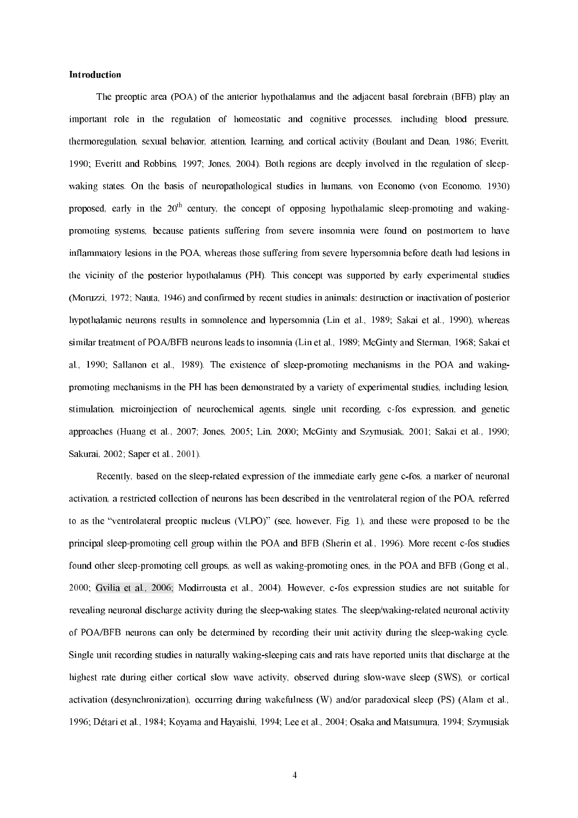# Introduction

The preoptic area (POA) of the anterior hypothalamus and the adjacent basal forebrain (BFB) play an important role in the regulation of homeostatic and cognitive processes, including blood pressure, thermoregulation, sexual behavior, attention, learning, and cortical activity (Boulant and Dean, 1986; Everitt, 1990; Everitt and Robbins, 1997; Jones, 2004). Both regions are deeply involved in the regulation of sleep waking states. On the basis of neuropathological studies in humans, von Economo (von Economo, 1930) proposed, early in the 20<sup>th</sup> century, the concept of opposing hypothalamic sleep-promoting and wakingpromoting systems, because patients suffering from severe insomnia were found on postmortem to have inflammatory lesions in the POA, whereas those suffering from severe hypersomnia before death had lesions in the vicinity of the posterior hypothalamus (PH). This concept was supported by early experimental studies (Moruzzi, 1972; Nauta, 1946) and confirmed by recent studies in animals: destruction or inactivation of posterior hypothalamic neurons results in somnolence and hypersomnia (Lin et al., 1989; Sakai et al., 1990), whereas similar treatment of POA/BFB neurons leads to insomnia (Lin et al., 1989; McGinty and Sterman, 1968; Sakai et al., 1990; Sallanon et al., 1989). The existence of sleep-promoting mechanisms in the POA and wakingpromoting mechanisms in the PH has been demonstrated by a variety of experimental studies, including lesion, stimulation, microinjection of neurochemical agents, single unit recording, c-fos expression, and genetic approaches (Huang et al., 2007; Jones, 2005; Lin, 2000; McGinty and Szymusiak, 2001; Sakai et al., 1990; Sakurai, 2002; Saper et al., 2001).

Recently, based on the sleep-related expression of the immediate early gene c-fos, a marker of neuronal activation, a restricted collection of neurons has been described in the ventrolateral region of the POA, referred to as the "ventrolateral preoptic nucleus (VLPO)" (see, however, Fig. 1), and these were proposed to be the principal sleep-promoting cell group within the POA and BFB (Sherin et al., 1996). More recent c-fos studies found other sleep-promoting cell groups, as well as waking-promoting ones, in the POA and BFB (Gong et al., 2000; Gvilia et al., 2006; Modirrousta et al., 2004). However, cfos expression studies are not suitable for revealing neuronal discharge activity during the sleep-waking states. The sleep/waking-related neuronal activity of POA/BFB neurons can only be determined by recording their unit activity during the sleepwaking cycle. Single unit recording studies in naturally waking-sleeping cats and rats have reported units that discharge at the highest rate during either cortical slow wave activity, observed during slow-wave sleep (SWS), or cortical activation (desynchronization), occurring during wakefulness (W) and/or paradoxical sleep (PS) (Alam et al., 1996; Détari et al., 1984; Koyama and Hayaishi, 1994; Lee et al., 2004; Osaka and Matsumura, 1994; Szymusiak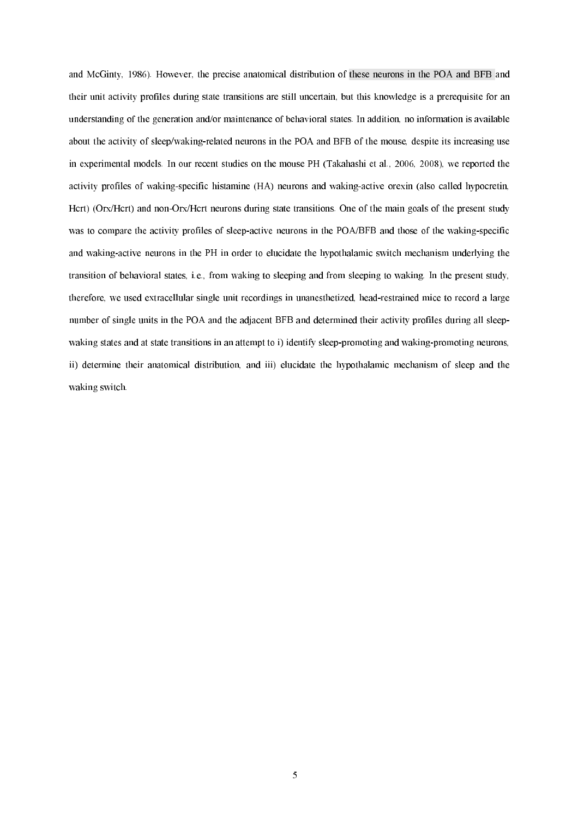and McGinty, 1986). However, the precise anatomical distribution of these neurons in the POA and BFB and their unit activity profiles during state transitions are still uncertain, but this knowledge is a prerequisite for an understanding of the generation and/or maintenance of behavioral states. In addition, no information is available about the activity of sleep/waking-related neurons in the POA and BFB of the mouse, despite its increasing use in experimental models. In our recent studies on the mouse PH (Takahashi et al., 2006, 2008), we reported the activity profiles of waking-specific histamine (HA) neurons and waking-active orexin (also called hypocretin, Hert) (Orx/Hert) and non-Orx/Hert neurons during state transitions. One of the main goals of the present study was to compare the activity profiles of sleep-active neurons in the POA/BFB and those of the waking-specific and waking-active neurons in the PH in order to elucidate the hypothalamic switch mechanism underlying the transition of behavioral states, i.e., from waking to sleeping and from sleeping to waking. In the present study, therefore, we used extracellular single unit recordings in unanesthetized, head-restrained mice to record a large number of single units in the POA and the adjacent BFB and determined their activity profiles during all sleep waking states and at state transitions in an attempt to i) identify sleep-promoting and waking-promoting neurons, ii) determine their anatomical distribution, and iii) elucidate the hypothalamic mechanism of sleep and the waking switch.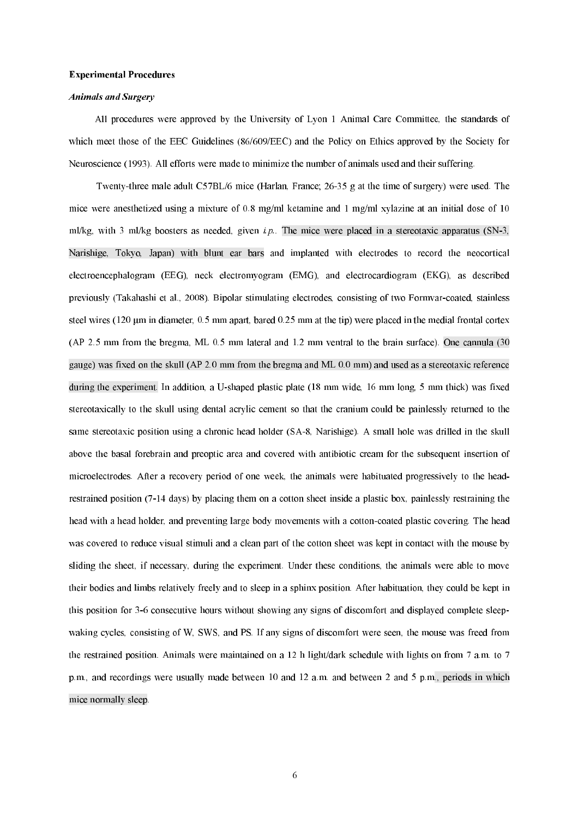#### **Experimental Procedures**

#### Animals and Surgery

All procedures were approved by the University of Lyon 1 Animal Care Committee, the standards of which meet those of the EEC Guidelines (86/609/EEC) and the Policy on Ethics approved by the Society for Neuroscience (1993). All efforts were made to minimize the number of animals used and their suffering.

Twenty-three male adult C57BL/6 mice (Harlan, France; 26-35 g at the time of surgery) were used. The mice were anesthetized using a mixture of 0.8 mg/ml ketamine and 1 mg/ml xylazine at an initial dose of 10 ml/kg, with 3 ml/kg boosters as needed, given  $i.p$ . The mice were placed in a stereotaxic apparatus (SN-3, Narishige, Tokyo, Japan) with blunt ear bars and implanted with electrodes to record the neocortical electroencephalogram (EEG), neck electromyogram (EMG), and electrocardiogram (EKG), as described previously (Takahashi et al., 2008). Bipolar stimulating electrodes, consisting of two Formvarcoated, stainless steel wires  $(120 \mu m)$  in diameter, 0.5 mm apart, bared 0.25 mm at the tip) were placed in the medial frontal cortex (AP 2.5 mm from the bregma, ML 0.5 mm lateral and 1.2 mm ventral to the brain surface). One cannula (30 gauge) was fixed on the skull (AP 2.0 mm from the bregma and ML 0.0 mm) and used as a stereotaxic reference during the experiment. In addition, a U-shaped plastic plate (18 mm wide, 16 mm long, 5 mm thick) was fixed stereotaxically to the skull using dental acrylic cement so that the cranium could be painlessly returned to the same stereotaxic position using a chronic head holder (SA-8, Narishige). A small hole was drilled in the skull above the basal forebrain and preoptic area and covered with antibiotic cream for the subsequent insertion of microelectrodes. After a recovery period of one week, the animals were habituated progressively to the head restrained position (714 days) by placing them on a cotton sheet inside a plastic box, painlessly restraining the head with a head holder, and preventing large body movements with a cotton-coated plastic covering. The head was covered to reduce visual stimuli and a clean part of the cotton sheet was kept in contact with the mouse by sliding the sheet, if necessary, during the experiment. Under these conditions, the animals were able to move their bodies and limbs relatively freely and to sleep in a sphinx position. After habituation, they could be kept in this position for 36 consecutive hours without showing any signs of discomfort and displayed complete sleep waking cycles, consisting of W, SWS, and PS. If any signs of discomfort were seen, the mouse was freed from the restrained position. Animals were maintained on a 12 h light/dark schedule with lights on from 7 a.m. to 7 p.m., and recordings were usually made between 10 and 12 a.m. and between 2 and 5 p.m., periods in which mice normally sleep.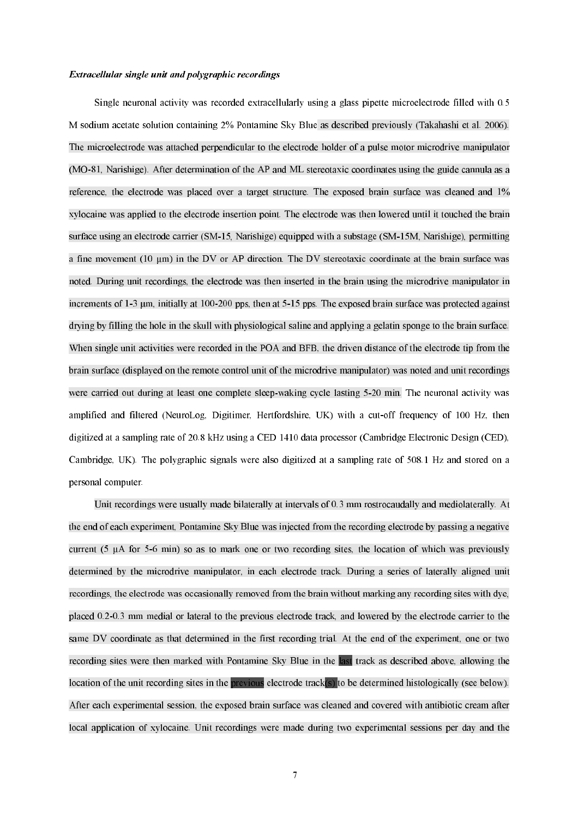### Extracellular single unit and polygraphic recordings

Single neuronal activity was recorded extracellularly using a glass pipette microelectrode filled with 0.5 M sodium acetate solution containing 2% Pontamine Sky Blue as described previously (Takahashi et al. 2006). The microelectrode was attached perpendicular to the electrode holder of a pulse motor microdrive manipulator (MO-81, Narishige). After determination of the AP and ML stereotaxic coordinates using the guide cannula as a reference, the electrode was placed over a target structure. The exposed brain surface was cleaned and 1% xylocaine was applied to the electrode insertion point. The electrode was then lowered until it touched the brain surface using an electrode carrier (SM-15, Narishige) equipped with a substage (SM-15M, Narishige), permitting a fine movement (10  $\mu$ m) in the DV or AP direction. The DV stereotaxic coordinate at the brain surface was noted. During unit recordings, the electrode was then inserted in the brain using the microdrive manipulator in increments of 1-3  $\mu$ m, initially at 100-200 pps, then at 5-15 pps. The exposed brain surface was protected against drying by filling the hole in the skull with physiological saline and applying a gelatin sponge to the brain surface. When single unit activities were recorded in the POA and BFB, the driven distance of the electrode tip from the brain surface (displayed on the remote control unit of the microdrive manipulator) was noted and unit recordings were carried out during at least one complete sleep-waking cycle lasting 5-20 min. The neuronal activity was amplified and filtered (NeuroLog, Digitimer, Hertfordshire, UK) with a cutoff frequency of 100 Hz, then digitized at a sampling rate of 20.8 kHz using a CED 1410 data processor (Cambridge Electronic Design (CED), Cambridge, UK). The polygraphic signals were also digitized at a sampling rate of 508.1 Hz and stored on a personal computer.

Unit recordings were usually made bilaterally at intervals of 0.3 mm rostrocaudally and mediolaterally. At the end of each experiment, Pontamine Sky Blue was injected from the recording electrode by passing a negative current (5  $\mu$ A for 5-6 min) so as to mark one or two recording sites, the location of which was previously determined by the microdrive manipulator, in each electrode track. During a series of laterally aligned unit recordings, the electrode was occasionally removed from the brain without marking any recording sites with dye, placed 0.20.3 mm medial or lateral to the previous electrode track, and lowered by the electrode carrier to the same DV coordinate as that determined in the first recording trial. At the end of the experiment, one or two recording sites were then marked with Pontamine Sky Blue in the last track as described above, allowing the location of the unit recording sites in the previous electrode track(s) to be determined histologically (see below). After each experimental session, the exposed brain surface was cleaned and covered with antibiotic cream after local application of xylocaine. Unit recordings were made during two experimental sessions per day and the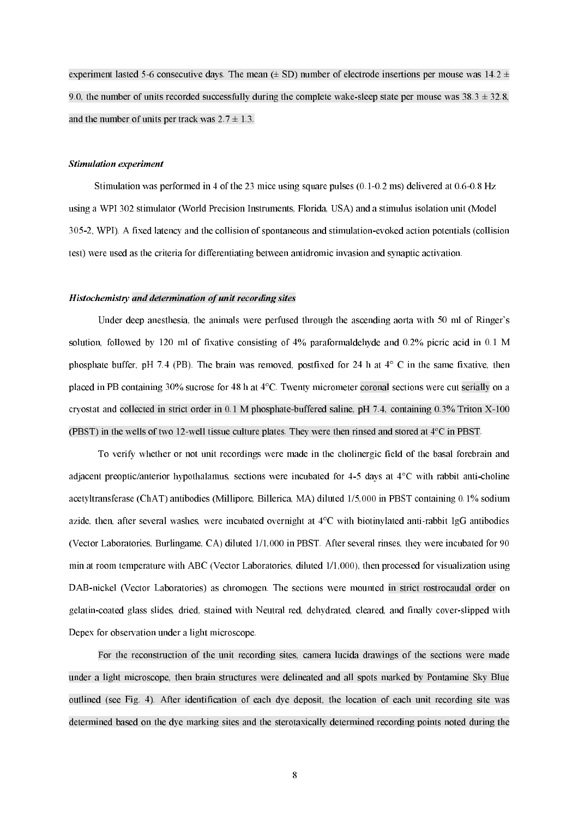experiment lasted 5-6 consecutive days. The mean  $(\pm S_D)$  number of electrode insertions per mouse was  $14.2 \pm$ 9.0, the number of units recorded successfully during the complete wake-sleep state per mouse was  $38.3 \pm 32.8$ , and the number of units per track was  $2.7 \pm 1.3$ .

#### Stimulation experiment

Stimulation was performed in 4 of the 23 mice using square pulses  $(0.1-0.2 \text{ ms})$  delivered at  $0.6-0.8 \text{ Hz}$ using a WPI 302 stimulator (World Precision Instruments, Florida, USA) and a stimulus isolation unit (Model 3052, WPI). A fixed latency and the collision of spontaneous and stimulationevoked action potentials (collision test) were used as the criteria for differentiating between antidromic invasion and synaptic activation.

#### Histochemistry and determination of unit recording sites

Under deep anesthesia, the animals were perfused through the ascending aorta with 50 ml of Ringer's solution, followed by 120 ml of fixative consisting of 4% paraformaldehyde and 0.2% picric acid in 0.1 M phosphate buffer, pH 7.4 (PB). The brain was removed, postfixed for 24 h at 4° C in the same fixative, then placed in PB containing 30% sucrose for 48 h at 4°C. Twenty micrometer coronal sections were cut serially on a cryostat and collected in strict order in 0.1 M phosphate-buffered saline, pH 7.4, containing 0.3% Triton X-100 (PBST) in the wells of two 12-well tissue culture plates. They were then rinsed and stored at  $4^{\circ}$ C in PBST.

To verify whether or not unit recordings were made in the cholinergic field of the basal forebrain and adjacent preoptic/anterior hypothalamus, sections were incubated for 4-5 days at 4°C with rabbit anti-choline acetyltransferase (ChAT) antibodies (Millipore, Billerica, MA) diluted 1/5,000 in PBST containing 0.1% sodium azide, then, after several washes, were incubated overnight at 4°C with biotinylated antirabbit IgG antibodies (Vector Laboratories, Burlingame, CA) diluted 1/1,000 in PBST. After several rinses, they were incubated for 90 min at room temperature with ABC (Vector Laboratories, diluted 1/1,000), then processed for visualization using DAB-nickel (Vector Laboratories) as chromogen. The sections were mounted in strict rostrocaudal order on gelatin-coated glass slides, dried, stained with Neutral red, dehydrated, cleared, and finally cover-slipped with Depex for observation under a light microscope.

For the reconstruction of the unit recording sites, camera lucida drawings of the sections were made under a light microscope, then brain structures were delineated and all spots marked by Pontamine Sky Blue outlined (see Fig. 4). After identification of each dye deposit, the location of each unit recording site was determined based on the dye marking sites and the sterotaxically determined recording points noted during the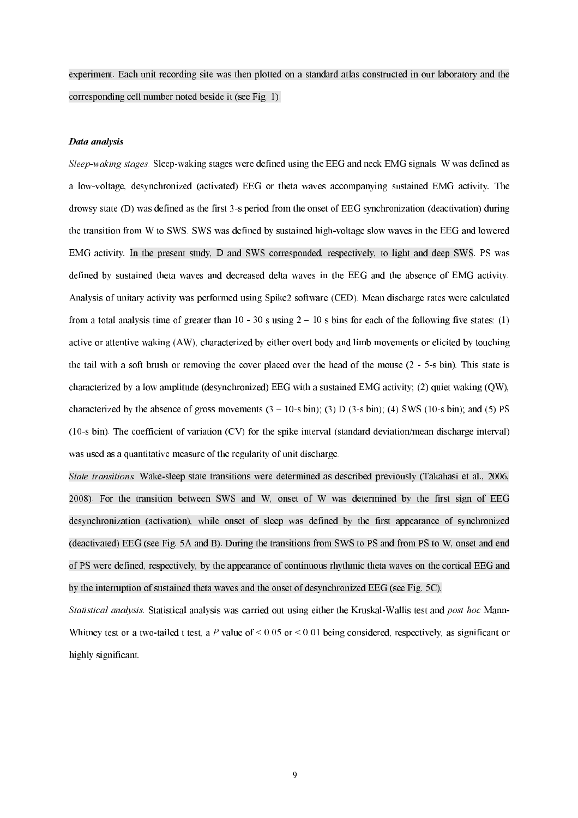experiment. Each unit recording site was then plotted on a standard atlas constructed in our laboratory and the corresponding cell number noted beside it (see Fig. 1).

# Data analysis

Sleep-waking stages. Sleep-waking stages were defined using the EEG and neck EMG signals. W was defined as a low-voltage, desynchronized (activated) EEG or theta waves accompanying sustained EMG activity. The drowsy state  $(D)$  was defined as the first 3-s period from the onset of EEG synchronization (deactivation) during the transition from W to SWS. SWS was defined by sustained high-voltage slow waves in the EEG and lowered EMG activity. In the present study, D and SWS corresponded, respectively, to light and deep SWS. PS was defined by sustained theta waves and decreased delta waves in the EEG and the absence of EMG activity. Analysis of unitary activity was performed using Spike2 software (CED). Mean discharge rates were calculated from a total analysis time of greater than 10 - 30 s using  $2 - 10$  s bins for each of the following five states: (1) active or attentive waking (AW), characterized by either overt body and limb movements or elicited by touching the tail with a soft brush or removing the cover placed over the head of the mouse  $(2 - 5s \text{ bin})$ . This state is characterized by a low amplitude (desynchronized) EEG with a sustained EMG activity; (2) quiet waking (QW), characterized by the absence of gross movements  $(3 - 10 - s \text{ bin})$ ; (3) D (3-s bin); (4) SWS (10-s bin); and (5) PS (10s bin). The coefficient of variation (CV) for the spike interval (standard deviation/mean discharge interval) was used as a quantitative measure of the regularity of unit discharge.

State transitions. Wake-sleep state transitions were determined as described previously (Takahasi et al., 2006, 2008). For the transition between SWS and W, onset of W was determined by the first sign of EEG desynchronization (activation), while onset of sleep was defined by the first appearance of synchronized (deactivated) EEG (see Fig. 5A and B). During the transitions from SWS to PS and from PS to W, onset and end of PS were defined, respectively, by the appearance of continuous rhythmic theta waves on the cortical EEG and by the interruption of sustained theta waves and the onset of desynchronized EEG (see Fig. 5C).

Statistical analysis. Statistical analysis was carried out using either the Kruskal-Wallis test and post hoc Mann-Whitney test or a two-tailed t test, a P value of  $\leq 0.05$  or  $\leq 0.01$  being considered, respectively, as significant or highly significant.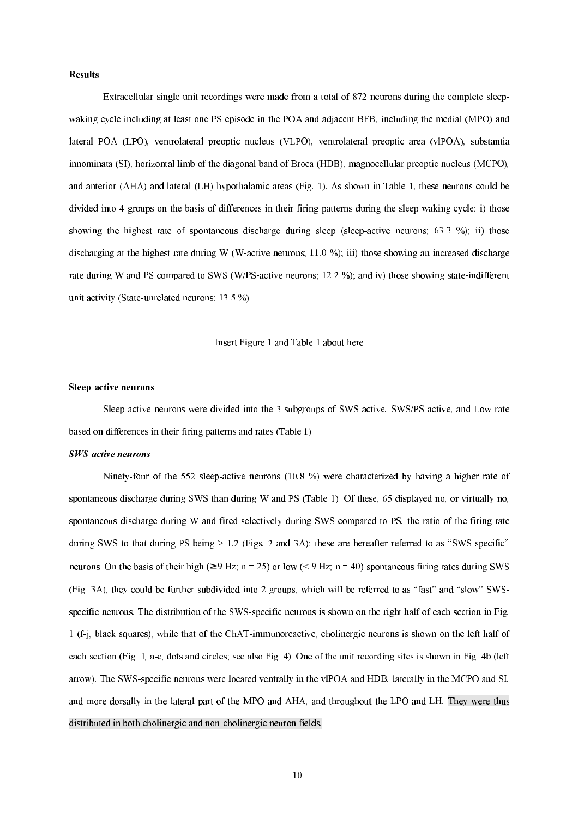# **Results**

Extracellular single unit recordings were made from a total of 872 neurons during the complete sleep waking cycle including at least one PS episode in the POA and adjacent BFB, including the medial (MPO) and lateral POA (LPO), ventrolateral preoptic nucleus (VLPO), ventrolateral preoptic area (vlPOA), substantia innominata (SI), horizontal limb of the diagonal band of Broca (HDB), magnocellular preoptic nucleus (MCPO), and anterior (AHA) and lateral (LH) hypothalamic areas (Fig. 1). As shown in Table 1, these neurons could be divided into 4 groups on the basis of differences in their firing patterns during the sleep-waking cycle: i) those showing the highest rate of spontaneous discharge during sleep (sleep-active neurons;  $63.3 \degree$ ); ii) those discharging at the highest rate during W (W-active neurons;  $11.0 \%$ ); iii) those showing an increased discharge rate during W and PS compared to SWS (W/PS-active neurons; 12.2 %); and iv) those showing state-indifferent unit activity (State-unrelated neurons;  $13.5\%$ ).

## Insert Figure 1 and Table 1 about here

#### Sleep-active neurons

Sleep-active neurons were divided into the 3 subgroups of SWS-active, SWS/PS-active, and Low rate based on differences in their firing patterns and rates (Table 1).

#### SWS-active neurons

Ninety-four of the 552 sleep-active neurons (10.8 %) were characterized by having a higher rate of spontaneous discharge during SWS than during W and PS (Table 1). Of these, 65 displayed no, or virtually no, spontaneous discharge during W and fired selectively during SWS compared to PS, the ratio of the firing rate during SWS to that during PS being  $> 1.2$  (Figs. 2 and 3A): these are hereafter referred to as "SWS-specific" neurons. On the basis of their high ( $\geq 9$  Hz; n = 25) or low ( $\leq 9$  Hz; n = 40) spontaneous firing rates during SWS (Fig. 3A), they could be further subdivided into 2 groups, which will be referred to as "fast" and "slow" SWS specific neurons. The distribution of the SWS-specific neurons is shown on the right half of each section in Fig. 1 (f-j, black squares), while that of the ChAT-immunoreactive, cholinergic neurons is shown on the left half of each section (Fig. 1, a-e, dots and circles; see also Fig. 4). One of the unit recording sites is shown in Fig. 4b (left arrow). The SWS-specific neurons were located ventrally in the vlPOA and HDB, laterally in the MCPO and SI, and more dorsally in the lateral part of the MPO and AHA, and throughout the LPO and LH. They were thus distributed in both cholinergic and non-cholinergic neuron fields.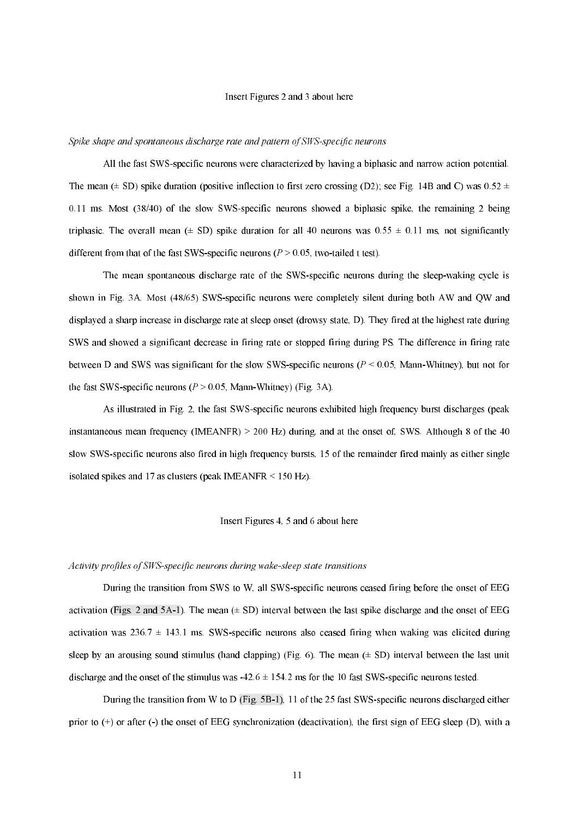# Insert Figures 2 and 3 about here

#### Spike shape and spontaneous discharge rate and pattern of SWS-specific neurons  $\,$

All the fast SWSspecific neurons were characterized by having a biphasic and narrow action potential. The mean ( $\pm$  SD) spike duration (positive inflection to first zero crossing (D2); see Fig. 14B and C) was 0.52  $\pm$ 0.11 ms. Most (38/40) of the slow SWSspecific neurons showed a biphasic spike, the remaining 2 being triphasic. The overall mean ( $\pm$  SD) spike duration for all 40 neurons was 0.55  $\pm$  0.11 ms, not significantly different from that of the fast SWS-specific neurons ( $P > 0.05$ , two-tailed t test).

The mean spontaneous discharge rate of the SWS-specific neurons during the sleep-waking cycle is shown in Fig. 3A. Most (48/65) SWS-specific neurons were completely silent during both AW and OW and displayed a sharp increase in discharge rate at sleep onset (drowsy state, D). They fired at the highest rate during SWS and showed a significant decrease in firing rate or stopped firing during PS. The difference in firing rate between D and SWS was significant for the slow SWS-specific neurons ( $P < 0.05$ , Mann-Whitney), but not for the fast SWS-specific neurons ( $P > 0.05$ , Mann-Whitney) (Fig. 3A).

As illustrated in Fig. 2, the fast SWS-specific neurons exhibited high frequency burst discharges (peak instantaneous mean frequency (IMEANFR)  $> 200$  Hz) during, and at the onset of, SWS. Although 8 of the 40 slow SWS-specific neurons also fired in high frequency bursts, 15 of the remainder fired mainly as either single isolated spikes and 17 as clusters (peak IMEANFR < 150 Hz).

## Insert Figures 4, 5 and 6 about here

#### Activity profiles of SWS-specific neurons during wake-sleep state transitions

During the transition from SWS to W, all SWS-specific neurons ceased firing before the onset of EEG activation (Figs. 2 and 5A-1). The mean  $(± SD)$  interval between the last spike discharge and the onset of EEG activation was  $236.7 \pm 143.1$  ms. SWS-specific neurons also ceased firing when waking was elicited during sleep by an arousing sound stimulus (hand clapping) (Fig. 6). The mean  $(\pm SD)$  interval between the last unit discharge and the onset of the stimulus was  $-42.6 \pm 154.2$  ms for the 10 fast SWS-specific neurons tested.

During the transition from W to D (Fig.  $5B-1$ ), 11 of the 25 fast SWS-specific neurons discharged either prior to  $(+)$  or after  $(-)$  the onset of EEG synchronization (deactivation), the first sign of EEG sleep  $(D)$ , with a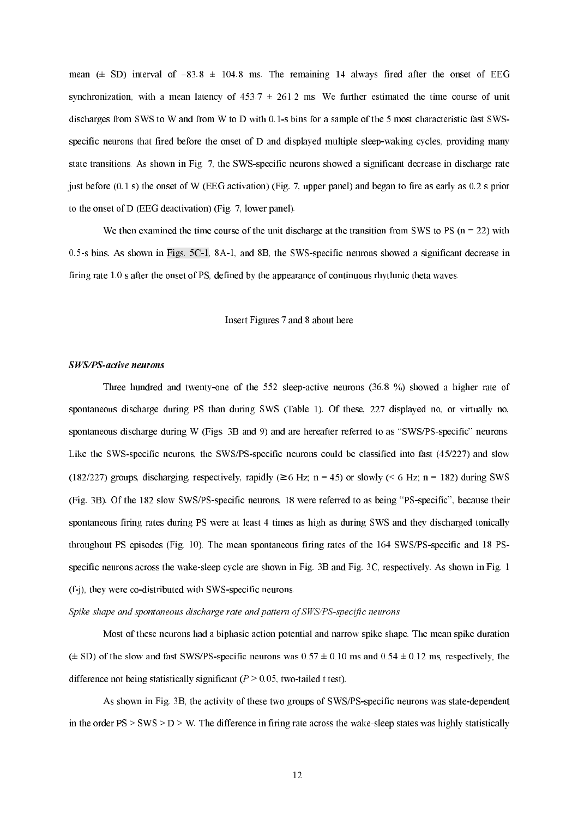mean  $(\pm$  SD) interval of -83.8  $\pm$  104.8 ms. The remaining 14 always fired after the onset of EEG synchronization, with a mean latency of  $453.7 \pm 261.2$  ms. We further estimated the time course of unit discharges from SWS to W and from W to D with 0.1-s bins for a sample of the 5 most characteristic fast SWSspecific neurons that fired before the onset of D and displayed multiple sleep-waking cycles, providing many state transitions. As shown in Fig. 7, the SWS-specific neurons showed a significant decrease in discharge rate just before (0.1 s) the onset of W (EEG activation) (Fig. 7, upper panel) and began to fire as early as 0.2 s prior to the onset of D (EEG deactivation) (Fig. 7, lower panel).

We then examined the time course of the unit discharge at the transition from SWS to PS ( $n = 22$ ) with 0.5s bins. As shown in Figs. 5C1, 8A1, and 8B, the SWSspecific neurons showed a significant decrease in firing rate 1.0 s after the onset of PS, defined by the appearance of continuous rhythmic theta waves.

# Insert Figures 7 and 8 about here

#### SWS/PS-active neurons

Three hundred and twenty-one of the  $552$  sleep-active neurons  $(36.8 \%)$  showed a higher rate of spontaneous discharge during PS than during SWS (Table 1). Of these, 227 displayed no, or virtually no, spontaneous discharge during W (Figs. 3B and 9) and are hereafter referred to as "SWS/PS-specific" neurons. Like the SWS-specific neurons, the SWS/PS-specific neurons could be classified into fast  $(45/227)$  and slow (182/227) groups, discharging, respectively, rapidly ( $\geq 6$  Hz; n = 45) or slowly (< 6 Hz; n = 182) during SWS (Fig. 3B). Of the 182 slow SWS/PS-specific neurons, 18 were referred to as being "PS-specific", because their spontaneous firing rates during PS were at least 4 times as high as during SWS and they discharged tonically throughout PS episodes (Fig. 10). The mean spontaneous firing rates of the 164 SWS/PS-specific and 18 PSspecific neurons across the wake-sleep cycle are shown in Fig. 3B and Fig. 3C, respectively. As shown in Fig. 1  $(f-j)$ , they were co-distributed with SWS-specific neurons.

#### Spike shape and spontaneous discharge rate and pattern of SWS/PS-specific neurons

Most of these neurons had a biphasic action potential and narrow spike shape. The mean spike duration  $(\pm$  SD) of the slow and fast SWS/PS-specific neurons was  $0.57 \pm 0.10$  ms and  $0.54 \pm 0.12$  ms, respectively, the difference not being statistically significant  $(P > 0.05$ , two-tailed t test).

As shown in Fig. 3B, the activity of these two groups of SWS/PS-specific neurons was state-dependent in the order  $PS > SWS > D > W$ . The difference in firing rate across the wake-sleep states was highly statistically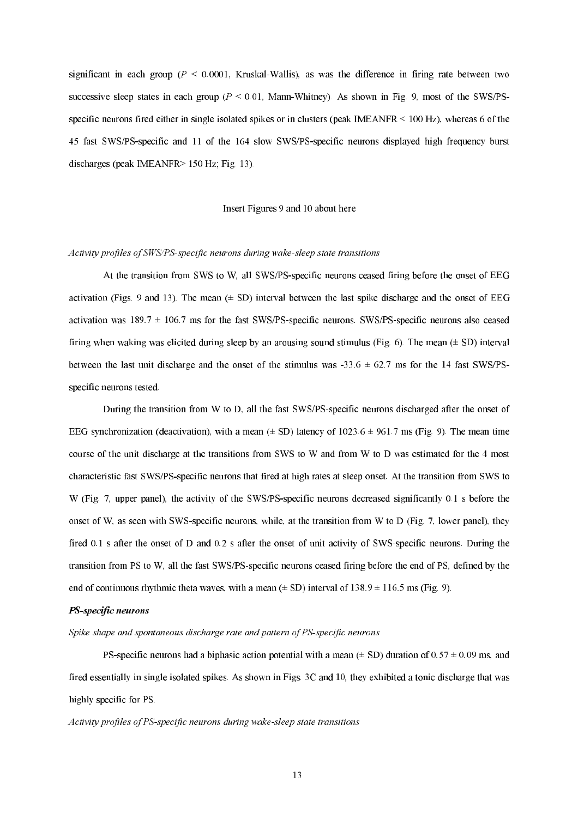significant in each group ( $P \le 0.0001$ , Kruskal-Wallis), as was the difference in firing rate between two successive sleep states in each group ( $P \le 0.01$ , Mann-Whitney). As shown in Fig. 9, most of the SWS/PSspecific neurons fired either in single isolated spikes or in clusters (peak IMEANFR < 100 Hz), whereas 6 of the 45 fast SWS/PS-specific and 11 of the 164 slow SWS/PS-specific neurons displayed high frequency burst discharges (peak IMEANFR> 150 Hz; Fig. 13).

# Insert Figures 9 and 10 about here

#### Activity profiles of SWS/PS-specific neurons during wake-sleep state transitions

At the transition from SWS to W, all SWS/PS-specific neurons ceased firing before the onset of EEG activation (Figs. 9 and 13). The mean  $(\pm S_D)$  interval between the last spike discharge and the onset of EEG activation was  $189.7 \pm 106.7$  ms for the fast SWS/PS-specific neurons. SWS/PS-specific neurons also ceased firing when waking was elicited during sleep by an arousing sound stimulus (Fig. 6). The mean  $(\pm SD)$  interval between the last unit discharge and the onset of the stimulus was  $-33.6 \pm 62.7$  ms for the 14 fast SWS/PSspecific neurons tested.

During the transition from W to D, all the fast SWS/PS-specific neurons discharged after the onset of EEG synchronization (deactivation), with a mean  $(\pm SD)$  latency of 1023.6  $\pm$  961.7 ms (Fig. 9). The mean time course of the unit discharge at the transitions from SWS to W and from W to D was estimated for the 4 most characteristic fast SWS/PS-specific neurons that fired at high rates at sleep onset. At the transition from SWS to W (Fig. 7, upper panel), the activity of the SWS/PS-specific neurons decreased significantly 0.1 s before the onset of W, as seen with SWS-specific neurons, while, at the transition from W to D (Fig. 7, lower panel), they fired 0.1 s after the onset of D and 0.2 s after the onset of unit activity of SWS-specific neurons. During the transition from PS to W, all the fast SWS/PS-specific neurons ceased firing before the end of PS, defined by the end of continuous rhythmic theta waves, with a mean  $(\pm SD)$  interval of 138.9  $\pm$  116.5 ms (Fig. 9).

#### PS-specific neurons

Spike shape and spontaneous discharge rate and pattern of PS-specific neurons

PS-specific neurons had a biphasic action potential with a mean ( $\pm$  SD) duration of 0.57  $\pm$  0.09 ms, and fired essentially in single isolated spikes. As shown in Figs. 3C and 10, they exhibited a tonic discharge that was highly specific for PS.

Activity profiles of PS-specific neurons during wake-sleep state transitions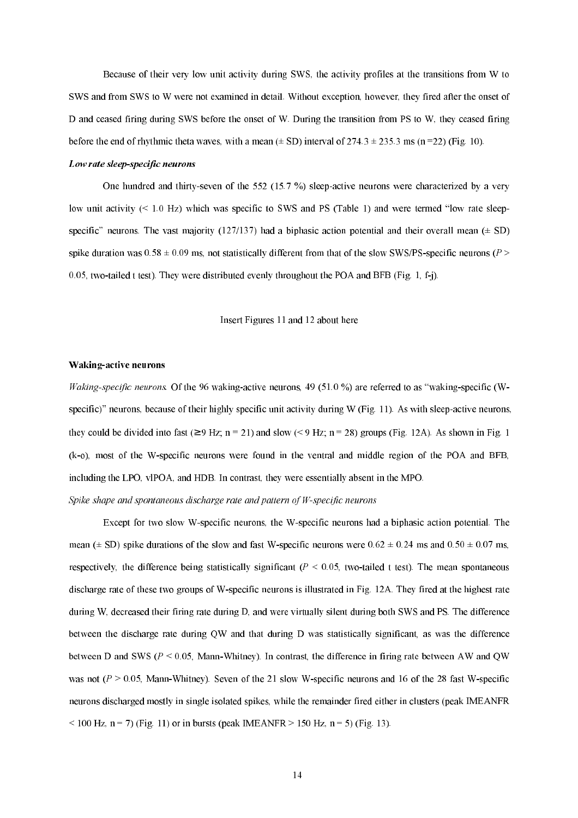Because of their very low unit activity during SWS, the activity profiles at the transitions from W to SWS and from SWS to W were not examined in detail. Without exception, however, they fired after the onset of D and ceased firing during SWS before the onset of W. During the transition from PS to W, they ceased firing before the end of rhythmic theta waves, with a mean  $(\pm SD)$  interval of 274.3  $\pm$  235.3 ms (n=22) (Fig. 10).

#### Low rate sleep-specific neurons

One hundred and thirty-seven of the 552 (15.7 %) sleep-active neurons were characterized by a very low unit activity  $(< 1.0$  Hz) which was specific to SWS and PS (Table 1) and were termed "low rate sleepspecific" neurons. The vast majority (127/137) had a biphasic action potential and their overall mean  $(\pm SD)$ spike duration was  $0.58 \pm 0.09$  ms, not statistically different from that of the slow SWS/PS-specific neurons ( $P >$ 0.05, two-tailed t test). They were distributed evenly throughout the POA and BFB (Fig. 1, f-j).

Insert Figures 11 and 12 about here

#### Waking-active neurons

Waking-specific neurons. Of the 96 waking-active neurons, 49 (51.0 %) are referred to as "waking-specific (Wspecific)" neurons, because of their highly specific unit activity during W (Fig. 11). As with sleep-active neurons, they could be divided into fast ( $\geq 9$  Hz; n = 21) and slow (< 9 Hz; n = 28) groups (Fig. 12A). As shown in Fig. 1 (k-o), most of the W-specific neurons were found in the ventral and middle region of the POA and BFB, including the LPO, vlPOA, and HDB. In contrast, they were essentially absent in the MPO.

Spike shape and spontaneous discharge rate and pattern of  $W$ -specific neurons

Except for two slow W-specific neurons, the W-specific neurons had a biphasic action potential. The mean ( $\pm$  SD) spike durations of the slow and fast W-specific neurons were 0.62  $\pm$  0.24 ms and 0.50  $\pm$  0.07 ms, respectively, the difference being statistically significant ( $P \le 0.05$ , two-tailed t test). The mean spontaneous discharge rate of these two groups of W-specific neurons is illustrated in Fig. 12A. They fired at the highest rate during W, decreased their firing rate during D, and were virtually silent during both SWS and PS. The difference between the discharge rate during QW and that during D was statistically significant, as was the difference between D and SWS ( $P < 0.05$ , Mann-Whitney). In contrast, the difference in firing rate between AW and QW was not  $(P > 0.05$ . Mann-Whitney). Seven of the 21 slow W-specific neurons and 16 of the 28 fast W-specific neurons discharged mostly in single isolated spikes, while the remainder fired either in clusters (peak IMEANFR  $<$  100 Hz, n = 7) (Fig. 11) or in bursts (peak IMEANFR > 150 Hz, n = 5) (Fig. 13).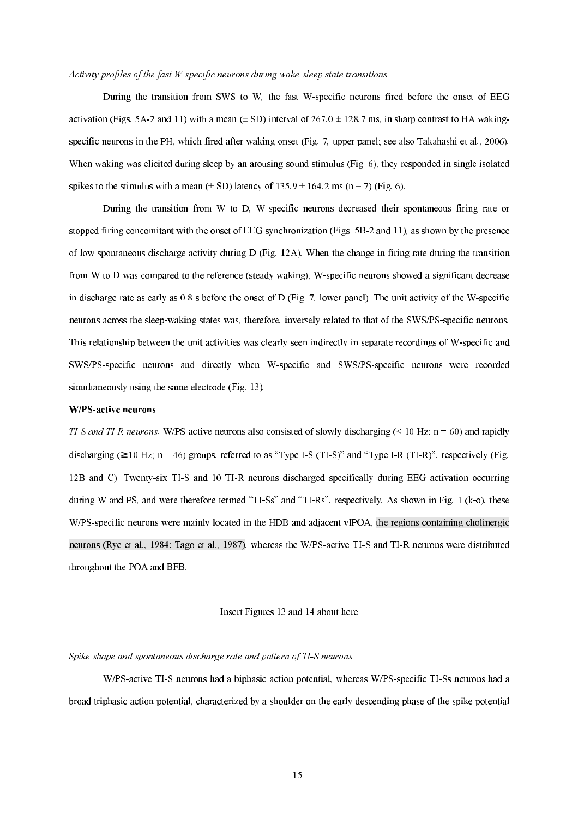#### Activity profiles of the fast W-specific neurons during wake-sleep state transitions

During the transition from SWS to W, the fast W-specific neurons fired before the onset of EEG activation (Figs. 5A-2 and 11) with a mean  $(\pm SD)$  interval of 267.0  $\pm$  128.7 ms, in sharp contrast to HA wakingspecific neurons in the PH, which fired after waking onset (Fig. 7, upper panel; see also Takahashi et al., 2006). When waking was elicited during sleep by an arousing sound stimulus (Fig. 6), they responded in single isolated spikes to the stimulus with a mean  $(\pm SD)$  latency of 135.9  $\pm$  164.2 ms (n = 7) (Fig. 6).

During the transition from W to D, W-specific neurons decreased their spontaneous firing rate or stopped firing concomitant with the onset of EEG synchronization (Figs. 5B2 and 11), as shown by the presence of low spontaneous discharge activity during D (Fig. 12A). When the change in firing rate during the transition from W to D was compared to the reference (steady waking), W-specific neurons showed a significant decrease in discharge rate as early as  $0.8$  s before the onset of D (Fig. 7, lower panel). The unit activity of the W-specific neurons across the sleep-waking states was, therefore, inversely related to that of the SWS/PS-specific neurons. This relationship between the unit activities was clearly seen indirectly in separate recordings of W-specific and SWS/PS-specific neurons and directly when W-specific and SWS/PS-specific neurons were recorded simultaneously using the same electrode (Fig. 13).

#### W/PS-active neurons

TI-S and TI-R neurons. W/PS-active neurons also consisted of slowly discharging  $($  < 10 Hz; n = 60) and rapidly discharging ( $\geq 10$  Hz; n = 46) groups, referred to as "Type I-S (TI-S)" and "Type I-R (TI-R)", respectively (Fig. 12B and C). Twentysix TIS and 10 TIR neurons discharged specifically during EEG activation occurring during W and PS, and were therefore termed "TI-Ss" and "TI-Rs", respectively. As shown in Fig. 1 ( $k$ -o), these W/PS-specific neurons were mainly located in the HDB and adjacent vlPOA, the regions containing cholinergic neurons (Rye et al., 1984; Tago et al., 1987), whereas the W/PS-active TI-S and TI-R neurons were distributed throughout the POA and BFB.

## Insert Figures 13 and 14 about here

#### Spike shape and spontaneous discharge rate and pattern of TI-S neurons

W/PS-active TI-S neurons had a biphasic action potential, whereas W/PS-specific TI-Ss neurons had a broad triphasic action potential, characterized by a shoulder on the early descending phase of the spike potential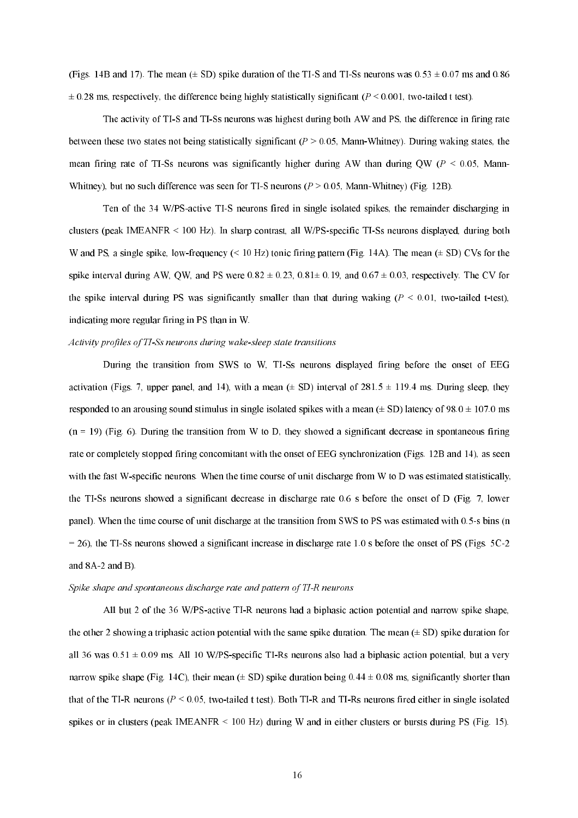(Figs. 14B and 17). The mean  $(\pm SD)$  spike duration of the TI-S and TI-Ss neurons was  $0.53 \pm 0.07$  ms and  $0.86$  $\pm$  0.28 ms, respectively, the difference being highly statistically significant ( $P \le 0.001$ , two-tailed t test).

The activity of TI-S and TI-Ss neurons was highest during both AW and PS, the difference in firing rate between these two states not being statistically significant  $(P > 0.05$ , Mann-Whitney). During waking states, the mean firing rate of TI-Ss neurons was significantly higher during AW than during QW ( $P < 0.05$ , Mann-Whitney), but no such difference was seen for TI-S neurons ( $P > 0.05$ , Mann-Whitney) (Fig. 12B).

Ten of the 34 W/PS-active TI-S neurons fired in single isolated spikes, the remainder discharging in clusters (peak IMEANFR  $\leq 100$  Hz). In sharp contrast, all W/PS-specific TI-Ss neurons displayed, during both W and PS, a single spike, low-frequency ( $\leq 10$  Hz) tonic firing pattern (Fig. 14A). The mean ( $\pm$  SD) CVs for the spike interval during AW, OW, and PS were  $0.82 \pm 0.23$ ,  $0.81 \pm 0.19$ , and  $0.67 \pm 0.03$ , respectively. The CV for the spike interval during PS was significantly smaller than that during waking  $(P \le 0.01$ , two-tailed t-test), indicating more regular firing in PS than in W.

#### Activity profiles of TI-Ss neurons during wake-sleep state transitions

During the transition from SWS to W, TI-Ss neurons displayed firing before the onset of EEG activation (Figs. 7, upper panel, and 14), with a mean ( $\pm$  SD) interval of 281.5  $\pm$  119.4 ms. During sleep, they responded to an arousing sound stimulus in single isolated spikes with a mean  $(\pm SD)$  latency of 98.0  $\pm$  107.0 ms  $(n = 19)$  (Fig. 6). During the transition from W to D, they showed a significant decrease in spontaneous firing rate or completely stopped firing concomitant with the onset of EEG synchronization (Figs. 12B and 14), as seen with the fast W-specific neurons. When the time course of unit discharge from W to D was estimated statistically, the TISs neurons showed a significant decrease in discharge rate 0.6 s before the onset of D (Fig. 7, lower panel). When the time course of unit discharge at the transition from SWS to PS was estimated with 0.5s bins (n  $= 26$ ), the TI-Ss neurons showed a significant increase in discharge rate 1.0 s before the onset of PS (Figs.  $5C-2$ and  $8A-2$  and B).

#### Spike shape and spontaneous discharge rate and pattern of TI-R neurons

All but 2 of the 36 W/PS-active TI-R neurons had a biphasic action potential and narrow spike shape, the other 2 showing a triphasic action potential with the same spike duration. The mean  $(\pm SD)$  spike duration for all 36 was  $0.51 \pm 0.09$  ms. All 10 W/PS-specific TI-Rs neurons also had a biphasic action potential, but a very narrow spike shape (Fig. 14C), their mean ( $\pm$  SD) spike duration being 0.44  $\pm$  0.08 ms, significantly shorter than that of the TI-R neurons ( $P \le 0.05$ , two-tailed t test). Both TI-R and TI-Rs neurons fired either in single isolated spikes or in clusters (peak IMEANFR < 100 Hz) during W and in either clusters or bursts during PS (Fig. 15).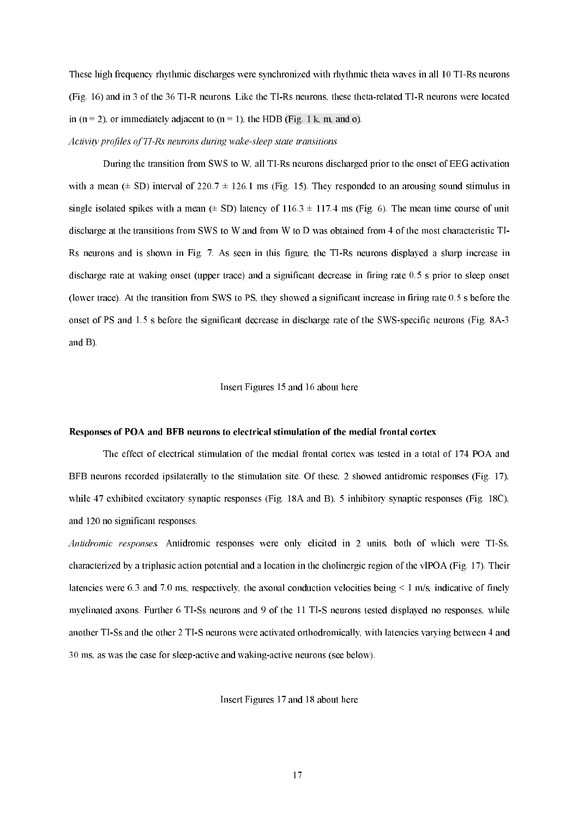These high frequency rhythmic discharges were synchronized with rhythmic theta waves in all 10 TI-Rs neurons (Fig. 16) and in 3 of the 36 TI-R neurons. Like the TI-Rs neurons, these theta-related TI-R neurons were located in  $(n = 2)$ , or immediately adjacent to  $(n = 1)$ , the HDB (Fig. 1 k, m, and o).

Activity profiles of TI-Rs neurons during wake-sleep state transitions

During the transition from SWS to W, all TI-Rs neurons discharged prior to the onset of EEG activation with a mean ( $\pm$  SD) interval of 220.7  $\pm$  126.1 ms (Fig. 15). They responded to an arousing sound stimulus in single isolated spikes with a mean  $(\pm SD)$  latency of 116.3  $\pm$  117.4 ms (Fig. 6). The mean time course of unit discharge at the transitions from SWS to W and from W to D was obtained from 4 of the most characteristic TI Rs neurons and is shown in Fig. 7. As seen in this figure, the TIRs neurons displayed a sharp increase in discharge rate at waking onset (upper trace) and a significant decrease in firing rate 0.5 s prior to sleep onset (lower trace). At the transition from SWS to PS, they showed a significant increase in firing rate 0.5 s before the onset of PS and 1.5 s before the significant decrease in discharge rate of the SWS-specific neurons (Fig. 8A-3 and B).

# Insert Figures 15 and 16 about here

#### Responses of POA and BFB neurons to electrical stimulation of the medial frontal cortex

 The effect of electrical stimulation of the medial frontal cortex was tested in a total of 174 POA and BFB neurons recorded ipsilaterally to the stimulation site. Of these, 2 showed antidromic responses (Fig. 17), while 47 exhibited excitatory synaptic responses (Fig. 18A and B), 5 inhibitory synaptic responses (Fig. 18C), and 120 no significant responses.

Antidromic responses. Antidromic responses were only elicited in 2 units, both of which were TI-Ss, characterized by a triphasic action potential and a location in the cholinergic region of the vlPOA (Fig. 17). Their latencies were 6.3 and 7.0 ms, respectively, the axonal conduction velocities being  $\leq 1$  m/s, indicative of finely myelinated axons. Further 6 TI-Ss neurons and 9 of the 11 TI-S neurons tested displayed no responses, while another TISs and the other 2 TIS neurons were activated orthodromically, with latencies varying between 4 and 30 ms, as was the case for sleep-active and waking-active neurons (see below).

Insert Figures 17 and 18 about here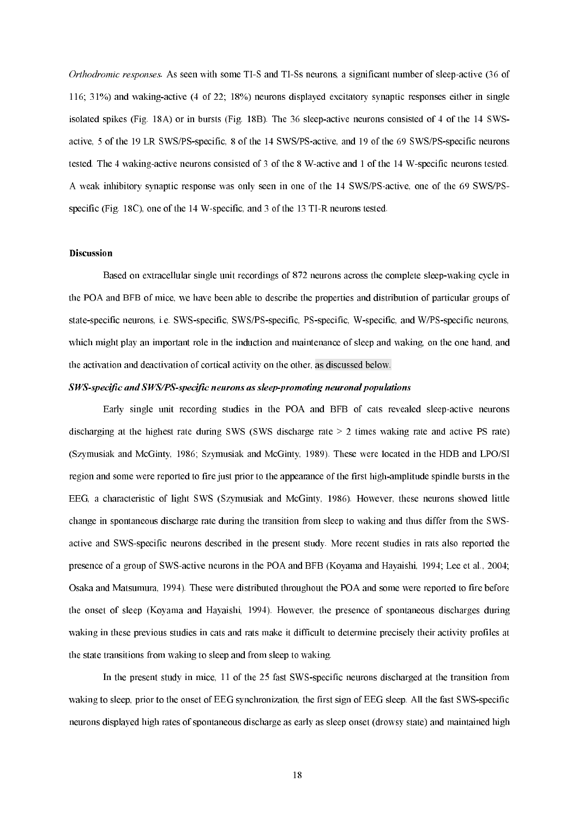Orthodromic responses. As seen with some TI-S and TI-Ss neurons, a significant number of sleep-active (36 of 116; 31%) and wakingactive (4 of 22; 18%) neurons displayed excitatory synaptic responses either in single isolated spikes (Fig. 18A) or in bursts (Fig. 18B). The 36 sleep-active neurons consisted of 4 of the 14 SWSactive, 5 of the 19 LR SWS/PS-specific, 8 of the 14 SWS/PS-active, and 19 of the 69 SWS/PS-specific neurons tested. The 4 waking-active neurons consisted of 3 of the 8 W-active and 1 of the 14 W-specific neurons tested. A weak inhibitory synaptic response was only seen in one of the 14 SWS/PS-active, one of the 69 SWS/PSspecific (Fig. 18C), one of the 14 W-specific, and 3 of the 13 TI-R neurons tested.

# Discussion

Based on extracellular single unit recordings of 872 neurons across the complete sleep-waking cycle in the POA and BFB of mice, we have been able to describe the properties and distribution of particular groups of state-specific neurons, i.e. SWS-specific, SWS/PS-specific, PS-specific, W-specific, and W/PS-specific neurons, which might play an important role in the induction and maintenance of sleep and waking, on the one hand, and the activation and deactivation of cortical activity on the other, as discussed below.

#### SWS-specific and SWS/PS-specific neurons as sleep-promoting neuronal populations

Early single unit recording studies in the POA and BFB of cats revealed sleep-active neurons discharging at the highest rate during SWS (SWS discharge rate > 2 times waking rate and active PS rate) (Szymusiak and McGinty, 1986; Szymusiak and McGinty, 1989). These were located in the HDB and LPO/SI region and some were reported to fire just prior to the appearance of the first high-amplitude spindle bursts in the EEG, a characteristic of light SWS (Szymusiak and McGinty, 1986). However, these neurons showed little change in spontaneous discharge rate during the transition from sleep to waking and thus differ from the SWS active and SWS-specific neurons described in the present study. More recent studies in rats also reported the presence of a group of SWSactive neurons in the POA and BFB (Koyama and Hayaishi, 1994; Lee et al., 2004; Osaka and Matsumura, 1994). These were distributed throughout the POA and some were reported to fire before the onset of sleep (Koyama and Hayaishi, 1994). However, the presence of spontaneous discharges during waking in these previous studies in cats and rats make it difficult to determine precisely their activity profiles at the state transitions from waking to sleep and from sleep to waking.

In the present study in mice, 11 of the 25 fast SWS-specific neurons discharged at the transition from waking to sleep, prior to the onset of EEG synchronization, the first sign of EEG sleep. All the fast SWS-specific neurons displayed high rates of spontaneous discharge as early as sleep onset (drowsy state) and maintained high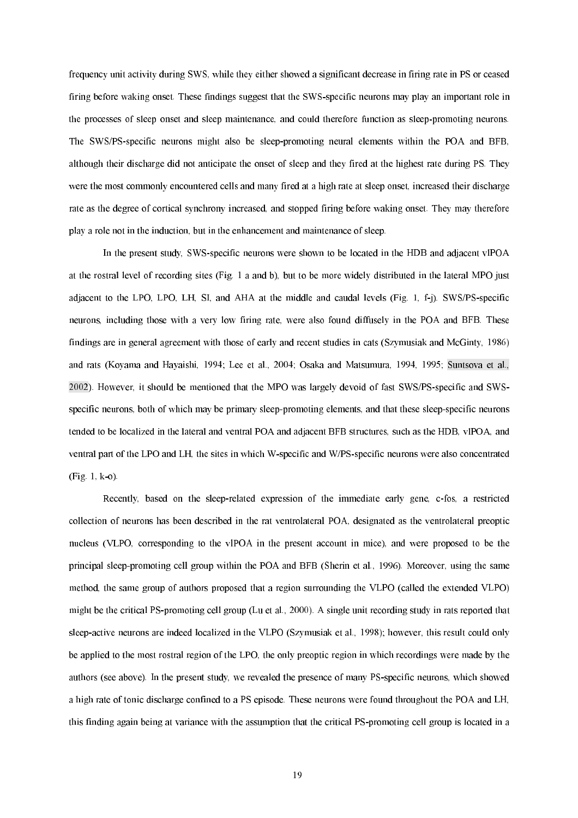frequency unit activity during SWS, while they either showed a significant decrease in firing rate in PS or ceased firing before waking onset. These findings suggest that the SWS-specific neurons may play an important role in the processes of sleep onset and sleep maintenance, and could therefore function as sleeppromoting neurons. The SWS/PS-specific neurons might also be sleep-promoting neural elements within the POA and BFB, although their discharge did not anticipate the onset of sleep and they fired at the highest rate during PS. They were the most commonly encountered cells and many fired at a high rate at sleep onset, increased their discharge rate as the degree of cortical synchrony increased, and stopped firing before waking onset. They may therefore play a role not in the induction, but in the enhancement and maintenance of sleep.

In the present study, SWS-specific neurons were shown to be located in the HDB and adjacent vlPOA at the rostral level of recording sites (Fig. 1 a and b), but to be more widely distributed in the lateral MPO just adjacent to the LPO, LPO, LH, SI, and AHA at the middle and caudal levels (Fig. 1,  $f-i$ ). SWS/PS-specific neurons, including those with a very low firing rate, were also found diffusely in the POA and BFB. These findings are in general agreement with those of early and recent studies in cats (Szymusiak and McGinty, 1986) and rats (Koyama and Hayaishi, 1994; Lee et al., 2004; Osaka and Matsumura, 1994, 1995; Suntsova et al., 2002). However, it should be mentioned that the MPO was largely devoid of fast SWS/PS-specific and SWSspecific neurons, both of which may be primary sleep-promoting elements, and that these sleep-specific neurons tended to be localized in the lateral and ventral POA and adjacent BFB structures, such as the HDB, vlPOA, and ventral part of the LPO and LH, the sites in which W-specific and W/PS-specific neurons were also concentrated  $(Fig. 1, k-o)$ .

Recently, based on the sleep-related expression of the immediate early gene, c-fos, a restricted collection of neurons has been described in the rat ventrolateral POA, designated as the ventrolateral preoptic nucleus (VLPO, corresponding to the vlPOA in the present account in mice), and were proposed to be the principal sleep-promoting cell group within the POA and BFB (Sherin et al., 1996). Moreover, using the same method, the same group of authors proposed that a region surrounding the VLPO (called the extended VLPO) might be the critical PS-promoting cell group (Lu et al., 2000). A single unit recording study in rats reported that sleep-active neurons are indeed localized in the VLPO (Szymusiak et al., 1998); however, this result could only be applied to the most rostral region of the LPO, the only preoptic region in which recordings were made by the authors (see above). In the present study, we revealed the presence of many PS-specific neurons, which showed a high rate of tonic discharge confined to a PS episode. These neurons were found throughout the POA and LH, this finding again being at variance with the assumption that the critical PS-promoting cell group is located in a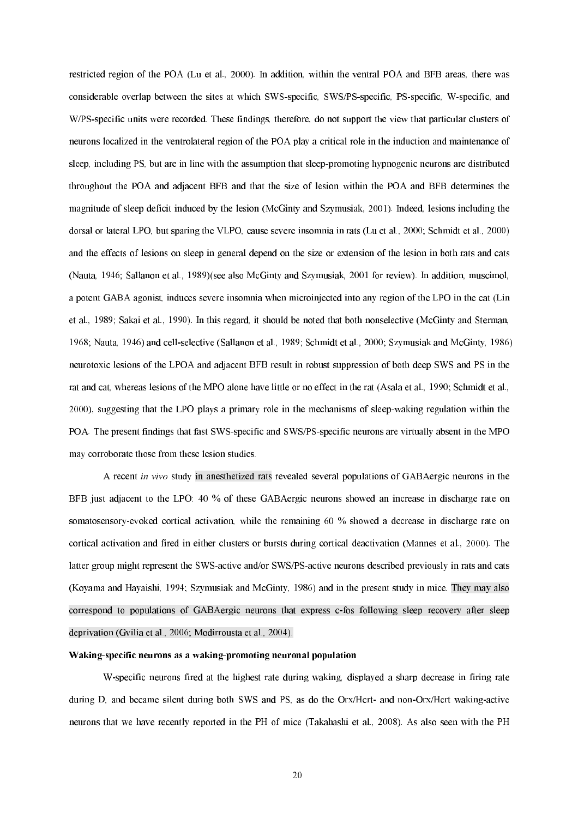restricted region of the POA (Lu et al., 2000). In addition, within the ventral POA and BFB areas, there was considerable overlap between the sites at which SWS-specific, SWS/PS-specific, PS-specific, W-specific, and W/PS-specific units were recorded. These findings, therefore, do not support the view that particular clusters of neurons localized in the ventrolateral region of the POA play a critical role in the induction and maintenance of sleep, including PS, but are in line with the assumption that sleep-promoting hypnogenic neurons are distributed throughout the POA and adjacent BFB and that the size of lesion within the POA and BFB determines the magnitude of sleep deficit induced by the lesion (McGinty and Szymusiak, 2001). Indeed, lesions including the dorsal or lateral LPO, but sparing the VLPO, cause severe insomnia in rats (Lu et al., 2000; Schmidt et al., 2000) and the effects of lesions on sleep in general depend on the size or extension of the lesion in both rats and cats (Nauta, 1946; Sallanon et al., 1989)(see also McGinty and Szymusiak, 2001 for review). In addition, muscimol, a potent GABA agonist, induces severe insomnia when microinjected into any region of the LPO in the cat (Lin et al., 1989; Sakai et al., 1990). In this regard, it should be noted that both nonselective (McGinty and Sterman, 1968; Nauta, 1946) and cellselective (Sallanon et al., 1989; Schmidt et al., 2000; Szymusiak and McGinty, 1986) neurotoxic lesions of the LPOA and adjacent BFB result in robust suppression of both deep SWS and PS in the rat and cat, whereas lesions of the MPO alone have little or no effect in the rat (Asala et al., 1990; Schmidt et al., 2000), suggesting that the LPO plays a primary role in the mechanisms of sleep-waking regulation within the POA. The present findings that fast SWS-specific and SWS/PS-specific neurons are virtually absent in the MPO may corroborate those from these lesion studies.

A recent in vivo study in anesthetized rats revealed several populations of GABAergic neurons in the BFB just adjacent to the LPO: 40 % of these GABAergic neurons showed an increase in discharge rate on somatosensory-evoked cortical activation, while the remaining 60 % showed a decrease in discharge rate on cortical activation and fired in either clusters or bursts during cortical deactivation (Mannes et al., 2000). The latter group might represent the SWS-active and/or SWS/PS-active neurons described previously in rats and cats (Koyama and Hayaishi, 1994; Szymusiak and McGinty, 1986) and in the present study in mice. They may also correspond to populations of GABAergic neurons that express c-fos following sleep recovery after sleep deprivation (Gvilia et al., 2006; Modirrousta et al., 2004).

#### Waking-specific neurons as a waking-promoting neuronal population

Wspecific neurons fired at the highest rate during waking, displayed a sharp decrease in firing rate during D, and became silent during both SWS and PS, as do the Orx/Hcrt- and non-Orx/Hcrt waking-active neurons that we have recently reported in the PH of mice (Takahashi et al., 2008). As also seen with the PH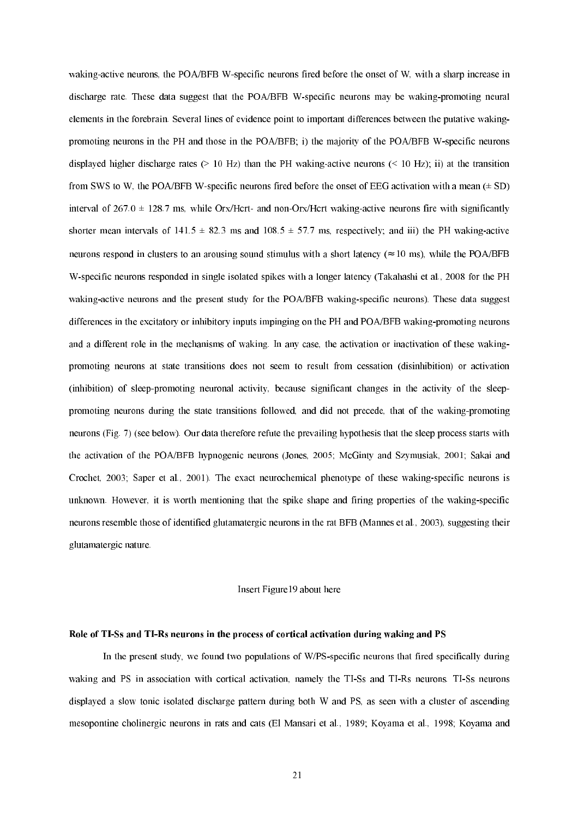waking-active neurons, the POA/BFB W-specific neurons fired before the onset of W, with a sharp increase in discharge rate. These data suggest that the POA/BFB W-specific neurons may be waking-promoting neural elements in the forebrain. Several lines of evidence point to important differences between the putative waking promoting neurons in the PH and those in the POA/BFB; i) the majority of the POA/BFB W-specific neurons displayed higher discharge rates ( $> 10$  Hz) than the PH waking-active neurons ( $< 10$  Hz); ii) at the transition from SWS to W, the POA/BFB W-specific neurons fired before the onset of EEG activation with a mean  $(\pm SD)$ interval of 267.0  $\pm$  128.7 ms, while Orx/Hcrt- and non-Orx/Hcrt waking-active neurons fire with significantly shorter mean intervals of 141.5  $\pm$  82.3 ms and 108.5  $\pm$  57.7 ms, respectively; and iii) the PH waking-active neurons respond in clusters to an arousing sound stimulus with a short latency ( $\approx 10$  ms), while the POA/BFB Wspecific neurons responded in single isolated spikes with a longer latency (Takahashi et al., 2008 for the PH waking-active neurons and the present study for the POA/BFB waking-specific neurons). These data suggest differences in the excitatory or inhibitory inputs impinging on the PH and POA/BFB waking-promoting neurons and a different role in the mechanisms of waking. In any case, the activation or inactivation of these waking promoting neurons at state transitions does not seem to result from cessation (disinhibition) or activation (inhibition) of sleep-promoting neuronal activity, because significant changes in the activity of the sleeppromoting neurons during the state transitions followed, and did not precede, that of the waking-promoting neurons (Fig. 7) (see below). Our data therefore refute the prevailing hypothesis that the sleep process starts with the activation of the POA/BFB hypnogenic neurons (Jones, 2005; McGinty and Szymusiak, 2001; Sakai and Crochet, 2003; Saper et al., 2001). The exact neurochemical phenotype of these waking-specific neurons is unknown. However, it is worth mentioning that the spike shape and firing properties of the waking-specific neurons resemble those of identified glutamatergic neurons in the rat BFB (Mannes et al., 2003), suggesting their glutamatergic nature.

# Insert Figure19 about here

# Role of TI-Ss and TI-Rs neurons in the process of cortical activation during waking and PS

In the present study, we found two populations of W/PS-specific neurons that fired specifically during waking and PS in association with cortical activation, namely the TI-Ss and TI-Rs neurons. TI-Ss neurons displayed a slow tonic isolated discharge pattern during both W and PS, as seen with a cluster of ascending mesopontine cholinergic neurons in rats and cats (El Mansari et al., 1989; Koyama et al., 1998; Koyama and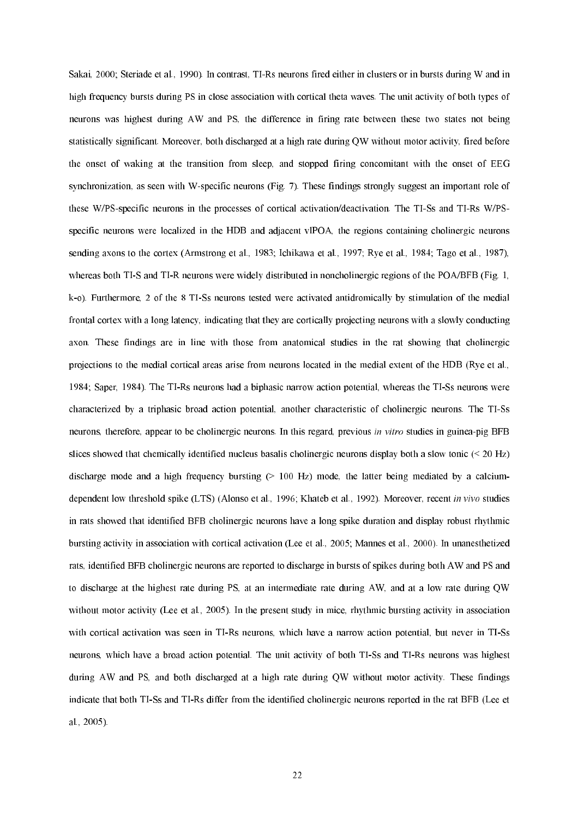Sakai, 2000; Steriade et al., 1990). In contrast, TI-Rs neurons fired either in clusters or in bursts during W and in high frequency bursts during PS in close association with cortical theta waves. The unit activity of both types of neurons was highest during AW and PS, the difference in firing rate between these two states not being statistically significant. Moreover, both discharged at a high rate during QW without motor activity, fired before the onset of waking at the transition from sleep, and stopped firing concomitant with the onset of EEG synchronization, as seen with W-specific neurons (Fig. 7). These findings strongly suggest an important role of these W/PS-specific neurons in the processes of cortical activation/deactivation. The TI-Ss and TI-Rs W/PSspecific neurons were localized in the HDB and adjacent vlPOA, the regions containing cholinergic neurons sending axons to the cortex (Armstrong et al., 1983; Ichikawa et al., 1997; Rye et al., 1984; Tago et al., 1987), whereas both TI-S and TI-R neurons were widely distributed in noncholinergic regions of the POA/BFB (Fig. 1, k-o). Furthermore, 2 of the 8 TI-Ss neurons tested were activated antidromically by stimulation of the medial frontal cortex with a long latency, indicating that they are cortically projecting neurons with a slowly conducting axon. These findings are in line with those from anatomical studies in the rat showing that cholinergic projections to the medial cortical areas arise from neurons located in the medial extent of the HDB (Rye et al., 1984; Saper, 1984). The TI-Rs neurons had a biphasic narrow action potential, whereas the TI-Ss neurons were characterized by a triphasic broad action potential, another characteristic of cholinergic neurons. The TI-Ss neurons, therefore, appear to be cholinergic neurons. In this regard, previous in vitro studies in guinea-pig BFB slices showed that chemically identified nucleus basalis cholinergic neurons display both a slow tonic (< 20 Hz) discharge mode and a high frequency bursting  $(> 100 \text{ Hz})$  mode, the latter being mediated by a calciumdependent low threshold spike (LTS) (Alonso et al., 1996; Khateb et al., 1992). Moreover, recent in vivo studies in rats showed that identified BFB cholinergic neurons have a long spike duration and display robust rhythmic bursting activity in association with cortical activation (Lee et al., 2005; Mannes et al., 2000). In unanesthetized rats, identified BFB cholinergic neurons are reported to discharge in bursts of spikes during both AW and PS and to discharge at the highest rate during PS, at an intermediate rate during AW, and at a low rate during QW without motor activity (Lee et al., 2005). In the present study in mice, rhythmic bursting activity in association with cortical activation was seen in TI-Rs neurons, which have a narrow action potential, but never in TI-Ss neurons, which have a broad action potential. The unit activity of both TI-Ss and TI-Rs neurons was highest during AW and PS, and both discharged at a high rate during QW without motor activity. These findings indicate that both TI-Ss and TI-Rs differ from the identified cholinergic neurons reported in the rat BFB (Lee et al., 2005).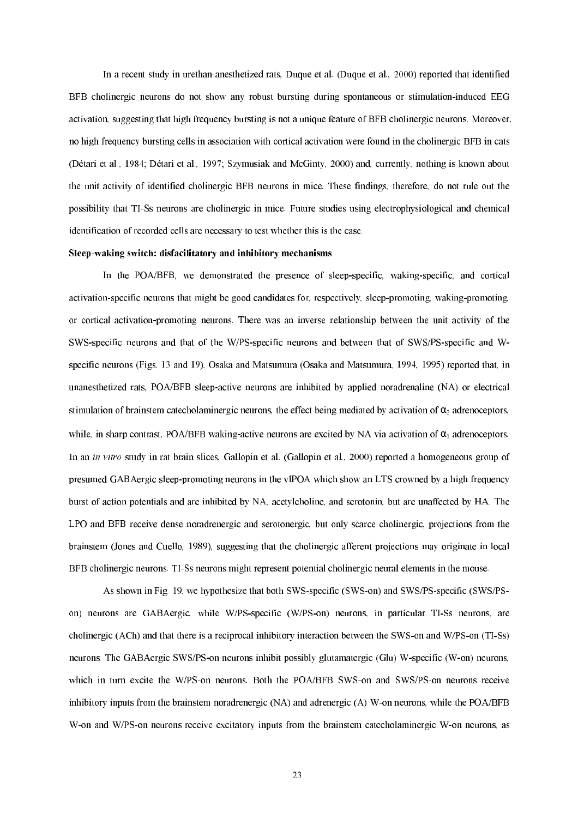In a recent study in urethan-anesthetized rats, Duque et al. (Duque et al., 2000) reported that identified BFB cholinergic neurons do not show any robust bursting during spontaneous or stimulation-induced EEG activation, suggesting that high frequency bursting is not a unique feature of BFB cholinergic neurons. Moreover, no high frequency bursting cells in association with cortical activation were found in the cholinergic BFB in cats (Détari et al., 1984; Détari et al., 1997; Szymusiak and McGinty, 2000) and, currently, nothing is known about the unit activity of identified cholinergic BFB neurons in mice. These findings, therefore, do not rule out the possibility that TISs neurons are cholinergic in mice. Future studies using electrophysiological and chemical identification of recorded cells are necessary to test whether this is the case.

#### Sleep-waking switch: disfacilitatory and inhibitory mechanisms

In the POA/BFB, we demonstrated the presence of sleep-specific, waking-specific, and cortical activation-specific neurons that might be good candidates for, respectively, sleep-promoting, waking-promoting, or cortical activation-promoting neurons. There was an inverse relationship between the unit activity of the SWS-specific neurons and that of the W/PS-specific neurons and between that of SWS/PS-specific and Wspecific neurons (Figs. 13 and 19). Osaka and Matsumura (Osaka and Matsumura, 1994, 1995) reported that, in unanesthetized rats, POA/BFB sleep-active neurons are inhibited by applied noradrenaline (NA) or electrical stimulation of brainstem catecholaminergic neurons, the effect being mediated by activation of  $\alpha_2$  adrenoceptors, while, in sharp contrast, POA/BFB waking-active neurons are excited by NA via activation of  $\alpha_1$  adrenoceptors. In an *in vitro* study in rat brain slices, Gallopin et al. (Gallopin et al., 2000) reported a homogeneous group of presumed GAB Aergic sleep-promoting neurons in the vlPOA which show an LTS crowned by a high frequency burst of action potentials and are inhibited by NA, acetylcholine, and serotonin, but are unaffected by HA. The LPO and BFB receive dense noradrenergic and serotonergic, but only scarce cholinergic, projections from the brainstem (Jones and Cuello, 1989), suggesting that the cholinergic afferent projections may originate in local BFB cholinergic neurons. TI-Ss neurons might represent potential cholinergic neural elements in the mouse.

As shown in Fig. 19, we hypothesize that both SWS-specific (SWS-on) and SWS/PS-specific (SWS/PSon) neurons are GABAergic, while W/PS-specific (W/PS-on) neurons, in particular TI-Ss neurons, are cholinergic (ACh) and that there is a reciprocal inhibitory interaction between the SWS-on and W/PS-on (TI-Ss) neurons. The GABAergic SWS/PS-on neurons inhibit possibly glutamatergic (Glu) W-specific (W-on) neurons, which in turn excite the W/PS-on neurons. Both the POA/BFB SWS-on and SWS/PS-on neurons receive inhibitory inputs from the brainstem noradrenergic (NA) and adrenergic (A) W-on neurons, while the POA/BFB W-on and W/PS-on neurons receive excitatory inputs from the brainstem catecholaminergic W-on neurons, as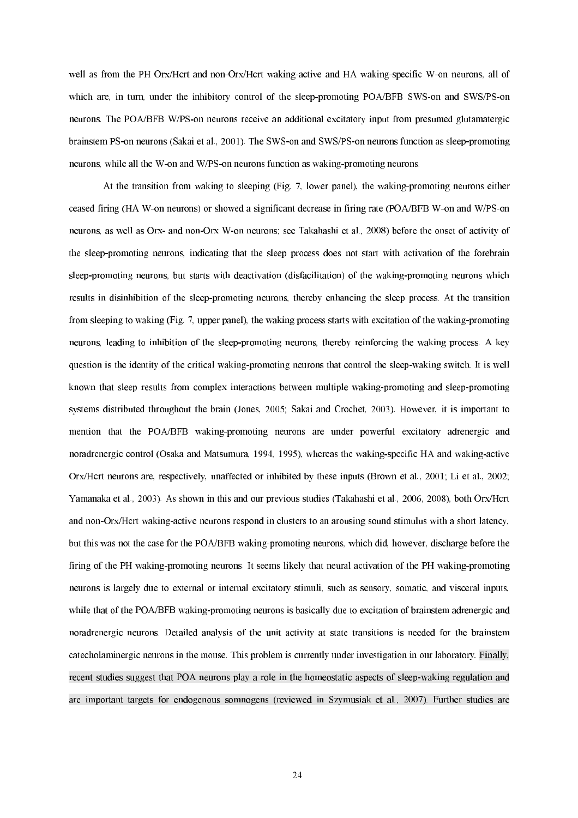well as from the PH Orx/Hcrt and non-Orx/Hcrt waking-active and HA waking-specific W-on neurons, all of which are, in turn, under the inhibitory control of the sleep-promoting POA/BFB SWS-on and SWS/PS-on neurons. The POA/BFB W/PS-on neurons receive an additional excitatory input from presumed glutamatergic brainstem PS-on neurons (Sakai et al., 2001). The SWS-on and SWS/PS-on neurons function as sleep-promoting neurons, while all the W-on and W/PS-on neurons function as waking-promoting neurons.

At the transition from waking to sleeping (Fig. 7, lower panel), the waking-promoting neurons either ceased firing (HA W-on neurons) or showed a significant decrease in firing rate (POA/BFB W-on and W/PS-on neurons, as well as Orx- and non-Orx W-on neurons; see Takahashi et al., 2008) before the onset of activity of the sleep-promoting neurons, indicating that the sleep process does not start with activation of the forebrain sleep-promoting neurons, but starts with deactivation (disfacilitation) of the waking-promoting neurons which results in disinhibition of the sleep-promoting neurons, thereby enhancing the sleep process. At the transition from sleeping to waking (Fig. 7, upper panel), the waking process starts with excitation of the waking-promoting neurons, leading to inhibition of the sleep-promoting neurons, thereby reinforcing the waking process. A key question is the identity of the critical waking-promoting neurons that control the sleep-waking switch. It is well known that sleep results from complex interactions between multiple waking-promoting and sleep-promoting systems distributed throughout the brain (Jones, 2005; Sakai and Crochet, 2003). However, it is important to mention that the POA/BFB waking-promoting neurons are under powerful excitatory adrenergic and noradrenergic control (Osaka and Matsumura, 1994, 1995), whereas the waking-specific HA and waking-active Orx/Hcrt neurons are, respectively, unaffected or inhibited by these inputs (Brown et al., 2001; Li et al., 2002; Yamanaka et al., 2003). As shown in this and our previous studies (Takahashi et al., 2006, 2008), both Orx/Hcrt and non-Orx/Hcrt waking-active neurons respond in clusters to an arousing sound stimulus with a short latency, but this was not the case for the POA/BFB waking-promoting neurons, which did, however, discharge before the firing of the PH waking-promoting neurons. It seems likely that neural activation of the PH waking-promoting neurons is largely due to external or internal excitatory stimuli, such as sensory, somatic, and visceral inputs, while that of the POA/BFB waking-promoting neurons is basically due to excitation of brainstem adrenergic and noradrenergic neurons. Detailed analysis of the unit activity at state transitions is needed for the brainstem catecholaminergic neurons in the mouse. This problem is currently under investigation in our laboratory. Finally, recent studies suggest that POA neurons play a role in the homeostatic aspects of sleep-waking regulation and are important targets for endogenous somnogens (reviewed in Szymusiak et al., 2007). Further studies are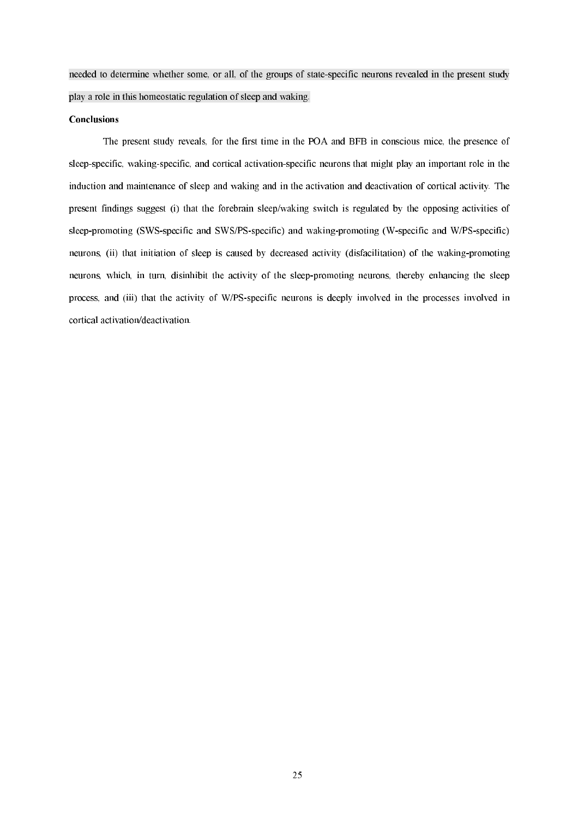needed to determine whether some, or all, of the groups of statespecific neurons revealed in the present study play a role in this homeostatic regulation of sleep and waking.

### **Conclusions**

 The present study reveals, for the first time in the POA and BFB in conscious mice, the presence of sleep-specific, waking-specific, and cortical activation-specific neurons that might play an important role in the induction and maintenance of sleep and waking and in the activation and deactivation of cortical activity. The present findings suggest (i) that the forebrain sleep/waking switch is regulated by the opposing activities of sleep-promoting (SWS-specific and SWS/PS-specific) and waking-promoting (W-specific and W/PS-specific) neurons, (ii) that initiation of sleep is caused by decreased activity (disfacilitation) of the waking-promoting neurons, which, in turn, disinhibit the activity of the sleep-promoting neurons, thereby enhancing the sleep process, and (iii) that the activity of W/PS-specific neurons is deeply involved in the processes involved in cortical activation/deactivation.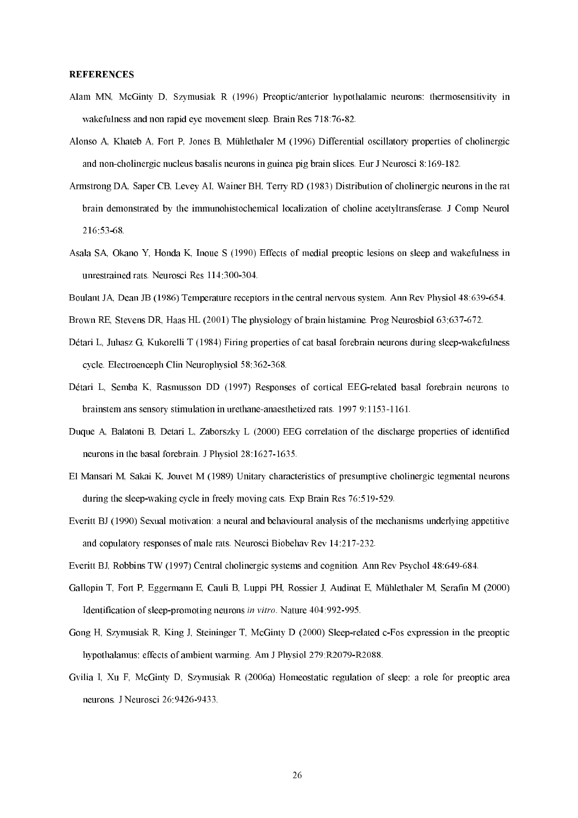# REFERENCES

- Alam MN, McGinty D, Szymusiak R (1996) Preoptic/anterior hypothalamic neurons: thermosensitivity in wakefulness and non rapid eye movement sleep. Brain Res 718:76-82.
- Alonso A, Khateb A, Fort P, Jones B, Mühlethaler M (1996) Differential oscillatory properties of cholinergic and non-cholinergic nucleus basalis neurons in guinea pig brain slices. Eur J Neurosci 8:169-182.
- Armstrong DA, Saper CB, Levey AI, Wainer BH, Terry RD (1983) Distribution of cholinergic neurons in the rat brain demonstrated by the immunohistochemical localization of choline acetyltransferase. J Comp Neurol 216:5368.
- Asala SA, Okano Y, Honda K, Inoue S (1990) Effects of medial preoptic lesions on sleep and wakefulness in unrestrained rats. Neurosci Res 114:300-304.
- Boulant JA, Dean JB (1986) Temperature receptors in the central nervous system. Ann Rev Physiol 48:639-654.
- Brown RE, Stevens DR, Haas HL (2001) The physiology of brain histamine. Prog Neurosbiol 63:637672.
- Détari L, Juhasz G, Kukorelli T (1984) Firing properties of cat basal forebrain neurons during sleep-wakefulness cycle. Electroenceph Clin Neurophysiol 58:362-368.
- Détari L, Semba K, Rasmusson DD (1997) Responses of cortical EEGrelated basal forebrain neurons to brainstem ans sensory stimulation in urethane-anaesthetized rats. 1997 9:1153-1161.
- Duque A, Balatoni B, Detari L, Zaborszky L (2000) EEG correlation of the discharge properties of identified neurons in the basal forebrain. J Physiol 28:1627-1635.
- El Mansari M, Sakai K, Jouvet M (1989) Unitary characteristics of presumptive cholinergic tegmental neurons during the sleep-waking cycle in freely moving cats. Exp Brain Res  $76:519-529$ .
- Everitt BJ (1990) Sexual motivation: a neural and behavioural analysis of the mechanisms underlying appetitive and copulatory responses of male rats. Neurosci Biobehav Rev 14:217-232.
- Everitt BJ, Robbins TW (1997) Central cholinergic systems and cognition. Ann Rev Psychol 48:649-684.
- Gallopin T, Fort P, Eggermann E, Cauli B, Luppi PH, Rossier J, Audinat E, Mühlethaler M, Serafin M (2000) Identification of sleep-promoting neurons in vitro. Nature 404:992-995.
- Gong H, Szymusiak R, King J, Steininger T, McGinty D (2000) Sleep-related c-Fos expression in the preoptic hypothalamus: effects of ambient warming. Am J Physiol 279:R2079-R2088.
- Gvilia I, Xu F, McGinty D, Szymusiak R (2006a) Homeostatic regulation of sleep: a role for preoptic area neurons. J Neurosci 26:9426-9433.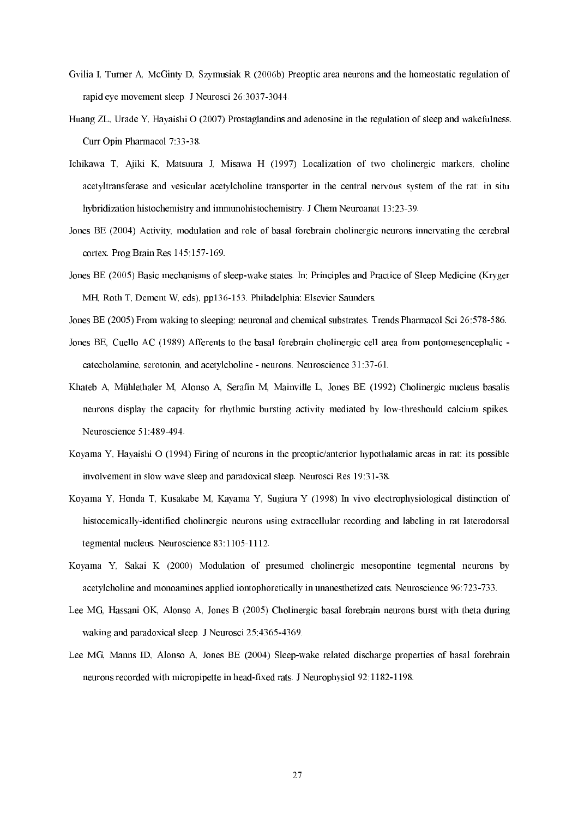- Gvilia I, Turner A, McGinty D, Szymusiak R (2006b) Preoptic area neurons and the homeostatic regulation of rapid eye movement sleep. J Neurosci 26:3037-3044.
- Huang ZL, Urade Y, Hayaishi O (2007) Prostaglandins and adenosine in the regulation of sleep and wakefulness. Curr Opin Pharmacol 7:33-38.
- Ichikawa T, Ajiki K, Matsuura J, Misawa H (1997) Localization of two cholinergic markers, choline acetyltransferase and vesicular acetylcholine transporter in the central nervous system of the rat: in situ hybridization histochemistry and immunohistochemistry. J Chem Neuroanat 13:23-39.
- Jones BE (2004) Activity, modulation and role of basal forebrain cholinergic neurons innervating the cerebral cortex. Prog Brain Res  $145:157-169$ .
- Jones BE (2005) Basic mechanisms of sleepwake states. In: Principles and Practice of Sleep Medicine (Kryger MH, Roth T, Dement W, eds), pp136-153. Philadelphia: Elsevier Saunders.
- Jones BE (2005) From waking to sleeping: neuronal and chemical substrates. Trends Pharmacol Sci 26:578-586.
- Jones BE, Cuello AC (1989) Afferents to the basal forebrain cholinergic cell area from pontomesencephalic catecholamine, serotonin, and acetylcholine - neurons. Neuroscience 31:37-61.
- Khateb A, Mühlethaler M, Alonso A, Serafin M, Mainville L, Jones BE (1992) Cholinergic nucleus basalis neurons display the capacity for rhythmic bursting activity mediated by lowthreshould calcium spikes. Neuroscience 51:489-494.
- Koyama Y, Hayaishi O (1994) Firing of neurons in the preoptic/anterior hypothalamic areas in rat: its possible involvement in slow wave sleep and paradoxical sleep. Neurosci Res 19:31-38.
- Koyama Y, Honda T, Kusakabe M, Kayama Y, Sugiura Y (1998) In vivo electrophysiological distinction of histocemically-identified cholinergic neurons using extracellular recording and labeling in rat laterodorsal tegmental nucleus. Neuroscience 83:1105-1112.
- Koyama Y, Sakai K (2000) Modulation of presumed cholinergic mesopontine tegmental neurons by acetylcholine and monoamines applied iontophoretically in unanesthetized cats. Neuroscience 96:723-733.
- Lee MG, Hassani OK, Alonso A, Jones B (2005) Cholinergic basal forebrain neurons burst with theta during waking and paradoxical sleep. J Neurosci 25:4365-4369.
- Lee MG, Manns ID, Alonso A, Jones BE (2004) Sleep-wake related discharge properties of basal forebrain neurons recorded with micropipette in head-fixed rats. J Neurophysiol 92:1182-1198.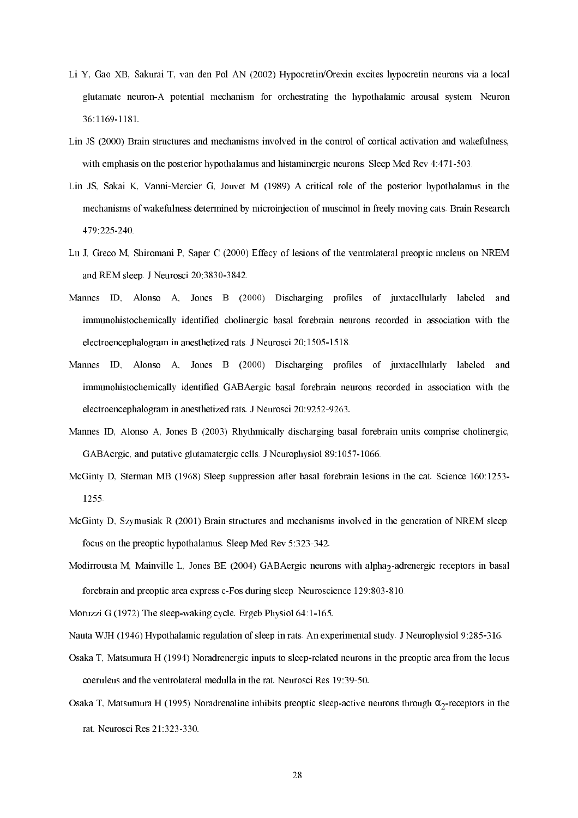- Li Y, Gao XB, Sakurai T, van den Pol AN (2002) Hypocretin/Orexin excites hypocretin neurons via a local glutamate neuron-A potential mechanism for orchestrating the hypothalamic arousal system. Neuron 36:11691181.
- Lin JS (2000) Brain structures and mechanisms involved in the control of cortical activation and wakefulness, with emphasis on the posterior hypothalamus and histaminergic neurons. Sleep Med Rev 4:471-503.
- Lin JS, Sakai K, Vanni-Mercier G, Jouvet M (1989) A critical role of the posterior hypothalamus in the mechanisms of wakefulness determined by microinjection of muscimol in freely moving cats. Brain Research 479:225240.
- Lu J, Greco M, Shiromani P, Saper C (2000) Effecy of lesions of the ventrolateral preoptic nucleus on NREM and REM sleep. J Neurosci 20:3830-3842.
- Mannes ID, Alonso A, Jones B (2000) Discharging profiles of juxtacellularly labeled and immunohistochemically identified cholinergic basal forebrain neurons recorded in association with the electroencephalogram in anesthetized rats. J Neurosci 20:1505-1518.
- Mannes ID, Alonso A, Jones B (2000) Discharging profiles of juxtacellularly labeled and immunohistochemically identified GABAergic basal forebrain neurons recorded in association with the electroencephalogram in anesthetized rats. J Neurosci 20:9252-9263.
- Mannes ID, Alonso A, Jones B (2003) Rhythmically discharging basal forebrain units comprise cholinergic, GABAergic, and putative glutamatergic cells. J Neurophysiol 89:1057-1066.
- McGinty D, Sterman MB (1968) Sleep suppression after basal forebrain lesions in the cat. Science 160:1253 1255.
- McGinty D, Szymusiak R (2001) Brain structures and mechanisms involved in the generation of NREM sleep: focus on the preoptic hypothalamus. Sleep Med Rev 5:323-342.
- Modirrousta M, Mainville L, Jones BE (2004) GABAergic neurons with alpha<sub>2</sub>-adrenergic receptors in basal forebrain and preoptic area express  $c$ -Fos during sleep. Neuroscience  $129:803-810$ .
- Moruzzi G (1972) The sleep-waking cycle. Ergeb Physiol  $64:1-165$ .
- Nauta WJH (1946) Hypothalamic regulation of sleep in rats. An experimental study. J Neurophysiol 9:285316.
- Osaka T, Matsumura H (1994) Noradrenergic inputs to sleeprelated neurons in the preoptic area from the locus coeruleus and the ventrolateral medulla in the rat. Neurosci Res 19:39-50.
- Osaka T, Matsumura H (1995) Noradrenaline inhibits preoptic sleep-active neurons through  $\alpha_2$ -receptors in the rat. Neurosci Res 21:323-330.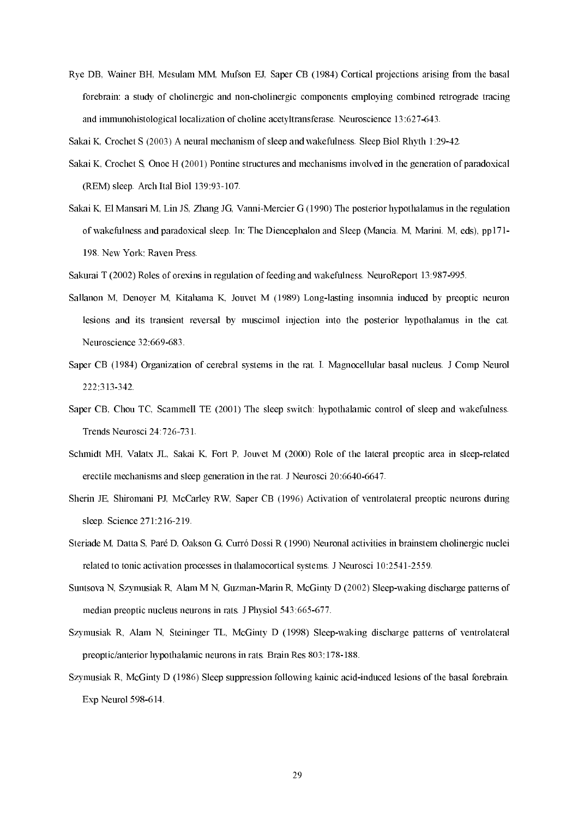Rye DB, Wainer BH, Mesulam MM, Mufson EJ, Saper CB (1984) Cortical projections arising from the basal forebrain: a study of cholinergic and non-cholinergic components employing combined retrograde tracing and immunohistological localization of choline acetyltransferase. Neuroscience 13:627-643.

Sakai K, Crochet S (2003) A neural mechanism of sleep and wakefulness. Sleep Biol Rhyth 1:2942.

- Sakai K, Crochet S, Onoe H (2001) Pontine structures and mechanisms involved in the generation of paradoxical (REM) sleep. Arch Ital Biol 139:93-107.
- Sakai K, El Mansari M, Lin JS, Zhang JG, Vanni-Mercier G (1990) The posterior hypothalamus in the regulation of wakefulness and paradoxical sleep. In: The Diencephalon and Sleep (Mancia. M, Marini. M, eds), pp171 198. New York: Raven Press.

Sakurai T (2002) Roles of orexins in regulation of feeding and wakefulness. NeuroReport 13:987-995.

- Sallanon M, Denoyer M, Kitahama K, Jouvet M (1989) Long-lasting insomnia induced by preoptic neuron lesions and its transient reversal by muscimol injection into the posterior hypothalamus in the cat. Neuroscience 32:669-683.
- Saper CB (1984) Organization of cerebral systems in the rat. I. Magnocellular basal nucleus. J Comp Neurol 222:313342.
- Saper CB, Chou TC, Scammell TE (2001) The sleep switch: hypothalamic control of sleep and wakefulness. Trends Neurosci 24:726-731.
- Schmidt MH, Valatx JL, Sakai K, Fort P, Jouvet M (2000) Role of the lateral preoptic area in sleep-related erectile mechanisms and sleep generation in the rat. J Neurosci 20:6640-6647.
- Sherin JE, Shiromani PJ, McCarley RW, Saper CB (1996) Activation of ventrolateral preoptic neurons during sleep. Science 271:216-219.
- Steriade M, Datta S, Paré D, Oakson G, Curró Dossi R (1990) Neuronal activities in brainstem cholinergic nuclei related to tonic activation processes in thalamocortical systems. J Neurosci 10:2541-2559.
- Suntsova N, Szymusiak R, Alam M N, Guzman-Marin R, McGinty D (2002) Sleep-waking discharge patterns of median preoptic nucleus neurons in rats. J Physiol 543:665-677.
- Szymusiak R, Alam N, Steininger TL, McGinty D (1998) Sleepwaking discharge patterns of ventrolateral preoptic/anterior hypothalamic neurons in rats. Brain Res 803:178-188.
- Szymusiak R, McGinty D (1986) Sleep suppression following kainic acid-induced lesions of the basal forebrain. Exp Neurol  $598-614$ .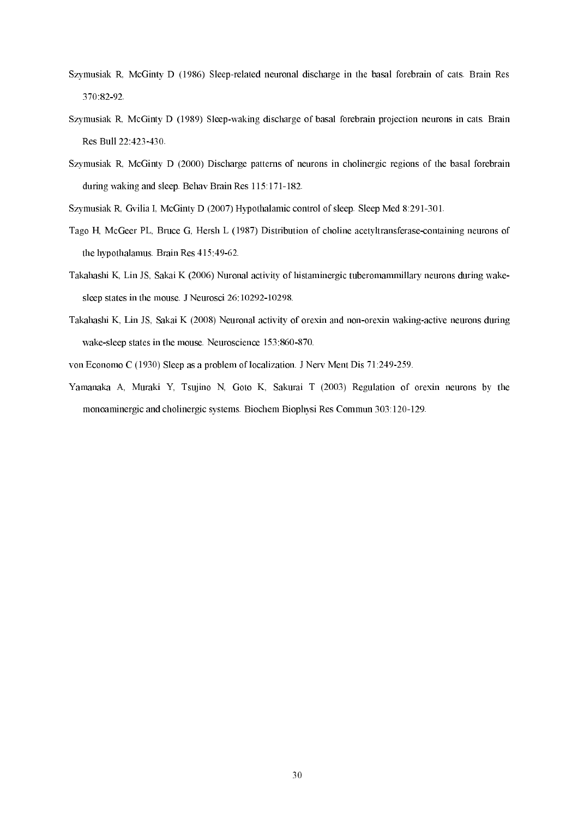- Szymusiak R, McGinty D (1986) Sleeprelated neuronal discharge in the basal forebrain of cats. Brain Res 370:8292.
- Szymusiak R, McGinty D (1989) Sleep-waking discharge of basal forebrain projection neurons in cats. Brain Res Bull 22:423-430.
- Szymusiak R, McGinty D (2000) Discharge patterns of neurons in cholinergic regions of the basal forebrain during waking and sleep. Behav Brain Res 115:171-182.
- Szymusiak R, Gvilia I, McGinty D (2007) Hypothalamic control of sleep. Sleep Med 8:291-301.
- Tago H, McGeer PL, Bruce G, Hersh L (1987) Distribution of choline acetyltransferase-containing neurons of the hypothalamus. Brain Res  $415:49-62$ .
- Takahashi K, Lin JS, Sakai K (2006) Nuronal activity of histaminergic tuberomammillary neurons during wake sleep states in the mouse. J Neurosci 26:10292-10298.
- Takahashi K, Lin JS, Sakai K (2008) Neuronal activity of orexin and non-orexin waking-active neurons during wake-sleep states in the mouse. Neuroscience 153:860-870.
- von Economo C (1930) Sleep as a problem of localization. J Nerv Ment Dis 71:249259.
- Yamanaka A, Muraki Y, Tsujino N, Goto K, Sakurai T (2003) Regulation of orexin neurons by the monoaminergic and cholinergic systems. Biochem Biophysi Res Commun 303:120-129.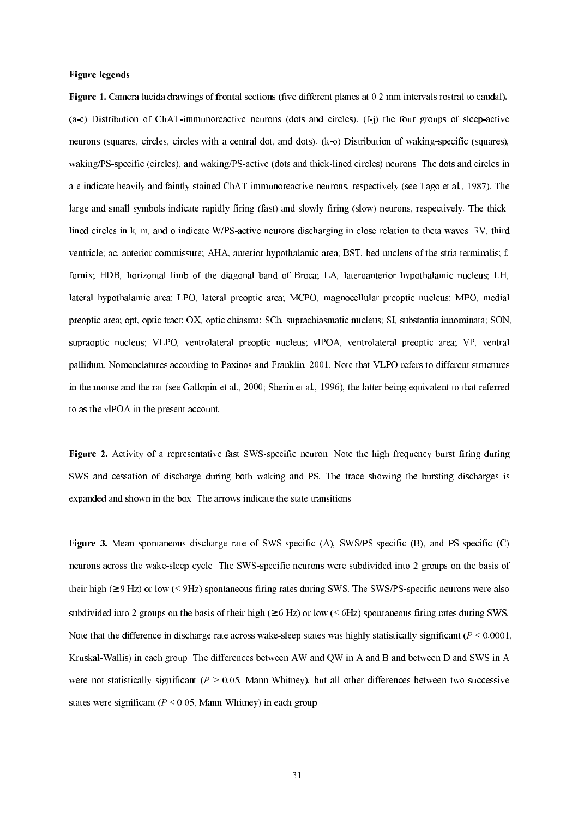# Figure legends

**Figure 1.** Camera lucida drawings of frontal sections (five different planes at 0.2 mm intervals rostral to caudal). (a-e) Distribution of ChAT-immunoreactive neurons (dots and circles). (f-j) the four groups of sleep-active neurons (squares, circles, circles with a central dot, and dots). (k-o) Distribution of waking-specific (squares), waking/PS-specific (circles), and waking/PS-active (dots and thick-lined circles) neurons. The dots and circles in a-e indicate heavily and faintly stained ChAT-immunoreactive neurons, respectively (see Tago et al., 1987). The large and small symbols indicate rapidly firing (fast) and slowly firing (slow) neurons, respectively. The thick lined circles in k, m, and o indicate W/PS-active neurons discharging in close relation to theta waves. 3V, third ventricle; ac, anterior commissure; AHA, anterior hypothalamic area; BST, bed nucleus of the stria terminalis; f, fornix; HDB, horizontal limb of the diagonal band of Broca; LA, lateroanterior hypothalamic nucleus; LH, lateral hypothalamic area; LPO, lateral preoptic area; MCPO, magnocellular preoptic nucleus; MPO, medial preoptic area; opt, optic tract; OX, optic chiasma; SCh, suprachiasmatic nucleus; SI, substantia innominata; SON, supraoptic nucleus; VLPO, ventrolateral preoptic nucleus; vlPOA, ventrolateral preoptic area; VP, ventral pallidum. Nomenclatures according to Paxinos and Franklin, 2001. Note that VLPO refers to different structures in the mouse and the rat (see Gallopin et al., 2000; Sherin et al., 1996), the latter being equivalent to that referred to as the vlPOA in the present account.

Figure 2. Activity of a representative fast SWS-specific neuron. Note the high frequency burst firing during SWS and cessation of discharge during both waking and PS. The trace showing the bursting discharges is expanded and shown in the box. The arrows indicate the state transitions.

Figure 3. Mean spontaneous discharge rate of SWS-specific (A), SWS/PS-specific (B), and PS-specific (C) neurons across the wake-sleep cycle. The SWS-specific neurons were subdivided into 2 groups on the basis of their high  $(\geq 9 \text{ Hz})$  or low ( $\leq 9\text{ Hz}$ ) spontaneous firing rates during SWS. The SWS/PS-specific neurons were also subdivided into 2 groups on the basis of their high ( $\geq 6$  Hz) or low ( $\leq 6$ Hz) spontaneous firing rates during SWS. Note that the difference in discharge rate across wake-sleep states was highly statistically significant ( $P \le 0.0001$ , Kruskal-Wallis) in each group. The differences between AW and OW in A and B and between D and SWS in A were not statistically significant ( $P > 0.05$ , Mann-Whitney), but all other differences between two successive states were significant ( $P \le 0.05$ , Mann-Whitney) in each group.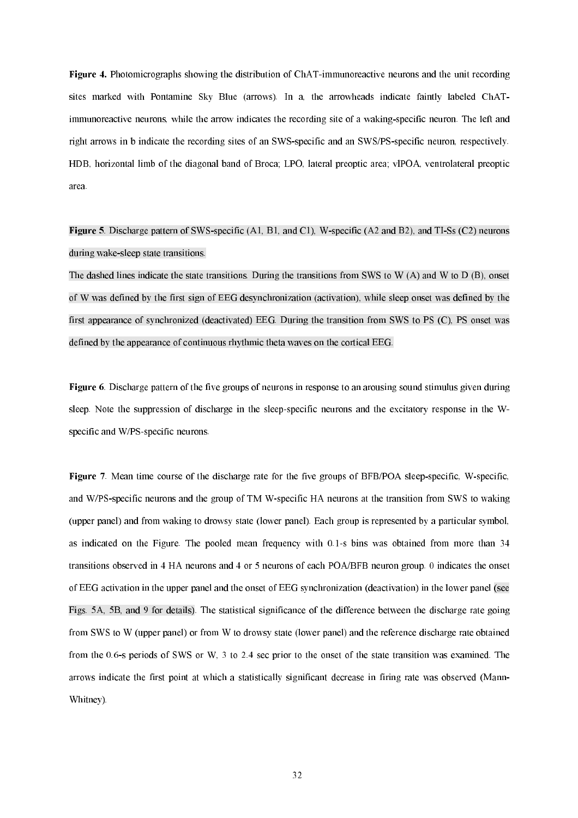3"86 Photomicrographs showing the distribution of ChATimmunoreactive neurons and the unit recording sites marked with Pontamine Sky Blue (arrows). In a, the arrowheads indicate faintly labeled ChAT immunoreactive neurons, while the arrow indicates the recording site of a waking-specific neuron. The left and right arrows in b indicate the recording sites of an SWS-specific and an SWS/PS-specific neuron, respectively. HDB, horizontal limb of the diagonal band of Broca; LPO, lateral preoptic area; vlPOA, ventrolateral preoptic area.

Figure 5. Discharge pattern of SWS-specific (A1, B1, and C1), W-specific (A2 and B2), and TI-Ss (C2) neurons during wake-sleep state transitions.

The dashed lines indicate the state transitions. During the transitions from SWS to W (A) and W to D (B), onset of W was defined by the first sign of EEG desynchronization (activation), while sleep onset was defined by the first appearance of synchronized (deactivated) EEG. During the transition from SWS to PS (C), PS onset was defined by the appearance of continuous rhythmic theta waves on the cortical EEG.

**Figure 6.** Discharge pattern of the five groups of neurons in response to an arousing sound stimulus given during sleep. Note the suppression of discharge in the sleep-specific neurons and the excitatory response in the Wspecific and W/PS-specific neurons.

**Figure** 7. Mean time course of the discharge rate for the five groups of BFB/POA sleep-specific, W-specific, and W/PS-specific neurons and the group of TM W-specific HA neurons at the transition from SWS to waking (upper panel) and from waking to drowsy state (lower panel). Each group is represented by a particular symbol, as indicated on the Figure. The pooled mean frequency with 0.1s bins was obtained from more than 34 transitions observed in 4 HA neurons and 4 or 5 neurons of each POA/BFB neuron group. 0 indicates the onset of EEG activation in the upper panel and the onset of EEG synchronization (deactivation) in the lower panel (see Figs. 5A, 5B, and 9 for details). The statistical significance of the difference between the discharge rate going from SWS to W (upper panel) or from W to drowsy state (lower panel) and the reference discharge rate obtained from the 0.6s periods of SWS or W, 3 to 2.4 sec prior to the onset of the state transition was examined. The arrows indicate the first point at which a statistically significant decrease in firing rate was observed (Mann Whitney).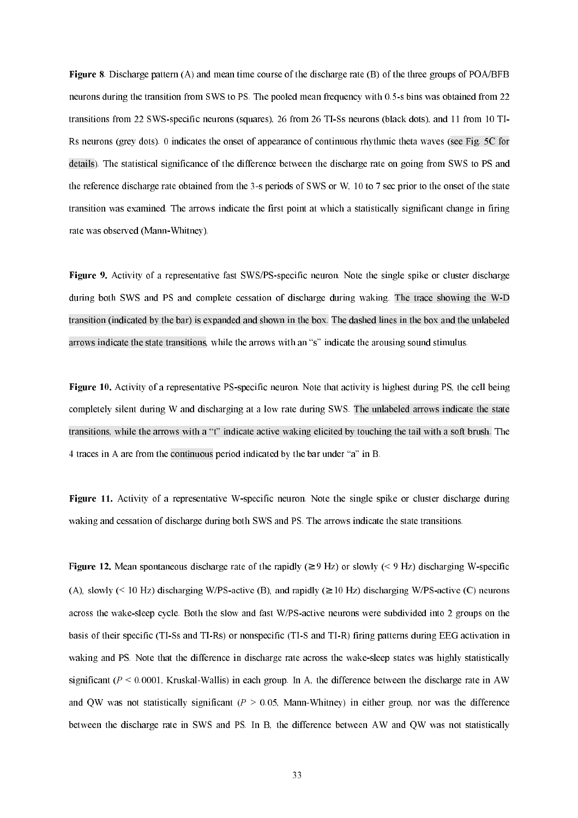Figure 8. Discharge pattern (A) and mean time course of the discharge rate (B) of the three groups of POA/BFB neurons during the transition from SWS to PS. The pooled mean frequency with 0.5-s bins was obtained from 22 transitions from 22 SWS-specific neurons (squares), 26 from 26 TI-Ss neurons (black dots), and 11 from 10 TI-Rs neurons (grey dots). 0 indicates the onset of appearance of continuous rhythmic theta waves (see Fig. 5C for details). The statistical significance of the difference between the discharge rate on going from SWS to PS and the reference discharge rate obtained from the 3-s periods of SWS or W, 10 to 7 sec prior to the onset of the state transition was examined. The arrows indicate the first point at which a statistically significant change in firing rate was observed (Mann-Whitney).

**Figure 9.** Activity of a representative fast SWS/PS-specific neuron. Note the single spike or cluster discharge during both SWS and PS and complete cessation of discharge during waking. The trace showing the W-D transition (indicated by the bar) is expanded and shown in the box. The dashed lines in the box and the unlabeled arrows indicate the state transitions, while the arrows with an "s" indicate the arousing sound stimulus.

**Figure 10.** Activity of a representative PS-specific neuron. Note that activity is highest during PS, the cell being completely silent during W and discharging at a low rate during SWS. The unlabeled arrows indicate the state transitions, while the arrows with a "t" indicate active waking elicited by touching the tail with a soft brush. The 4 traces in A are from the continuous period indicated by the bar under "a" in B.

Figure 11. Activity of a representative W-specific neuron. Note the single spike or cluster discharge during waking and cessation of discharge during both SWS and PS. The arrows indicate the state transitions.

Figure 12. Mean spontaneous discharge rate of the rapidly ( $\geq$  9 Hz) or slowly ( $\leq$  9 Hz) discharging W-specific (A), slowly (< 10 Hz) discharging W/PS-active (B), and rapidly ( $\geq$  10 Hz) discharging W/PS-active (C) neurons across the wake-sleep cycle. Both the slow and fast W/PS-active neurons were subdivided into 2 groups on the basis of their specific (TI-Ss and TI-Rs) or nonspecific (TI-S and TI-R) firing patterns during EEG activation in waking and PS. Note that the difference in discharge rate across the wake-sleep states was highly statistically significant ( $P < 0.0001$ , Kruskal-Wallis) in each group. In A, the difference between the discharge rate in AW and QW was not statistically significant ( $P > 0.05$ , Mann-Whitney) in either group, nor was the difference between the discharge rate in SWS and PS. In B, the difference between AW and QW was not statistically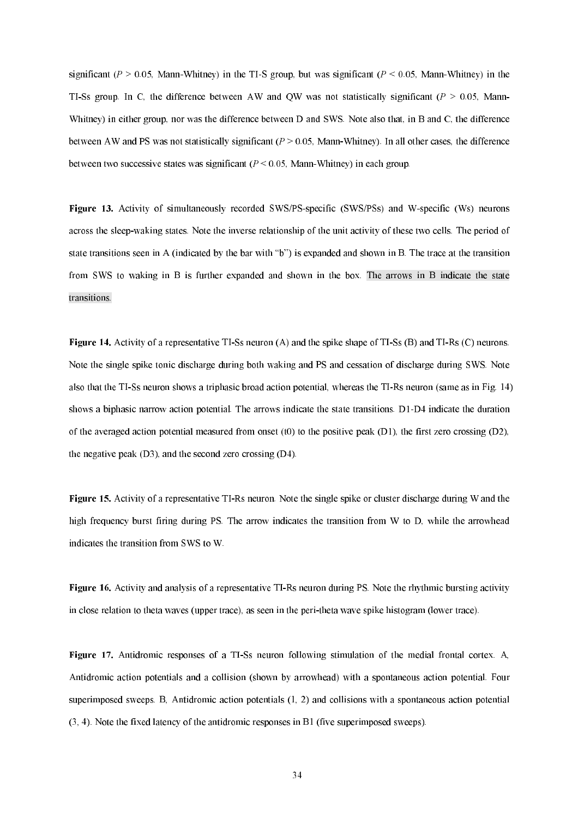significant ( $P > 0.05$ , Mann-Whitney) in the TI-S group, but was significant ( $P < 0.05$ , Mann-Whitney) in the TI-Ss group. In C, the difference between AW and QW was not statistically significant ( $P > 0.05$ , Mann-Whitney) in either group, nor was the difference between D and SWS. Note also that, in B and C, the difference between AW and PS was not statistically significant ( $P > 0.05$ , Mann-Whitney). In all other cases, the difference between two successive states was significant  $(P \le 0.05$ , Mann-Whitney) in each group.

Figure 13. Activity of simultaneously recorded SWS/PS-specific (SWS/PSs) and W-specific (Ws) neurons across the sleepwaking states. Note the inverse relationship of the unit activity of these two cells. The period of state transitions seen in A (indicated by the bar with "b") is expanded and shown in B. The trace at the transition from SWS to waking in B is further expanded and shown in the box. The arrows in B indicate the state transitions.

**Figure 14.** Activity of a representative TI-Ss neuron (A) and the spike shape of TI-Ss (B) and TI-Rs (C) neurons. Note the single spike tonic discharge during both waking and PS and cessation of discharge during SWS. Note also that the TI-Ss neuron shows a triphasic broad action potential, whereas the TI-Rs neuron (same as in Fig. 14) shows a biphasic narrow action potential. The arrows indicate the state transitions. D1-D4 indicate the duration of the averaged action potential measured from onset (t0) to the positive peak (D1), the first zero crossing (D2), the negative peak (D3), and the second zero crossing (D4).

**Figure 15.** Activity of a representative TI-Rs neuron. Note the single spike or cluster discharge during W and the high frequency burst firing during PS. The arrow indicates the transition from W to D, while the arrowhead indicates the transition from SWS to W.

**Figure 16.** Activity and analysis of a representative TI-Rs neuron during PS. Note the rhythmic bursting activity in close relation to theta waves (upper trace), as seen in the peri-theta wave spike histogram (lower trace).

Figure 17. Antidromic responses of a TI-Ss neuron following stimulation of the medial frontal cortex. A, Antidromic action potentials and a collision (shown by arrowhead) with a spontaneous action potential. Four superimposed sweeps. B, Antidromic action potentials (1, 2) and collisions with a spontaneous action potential (3, 4). Note the fixed latency of the antidromic responses in B1 (five superimposed sweeps).